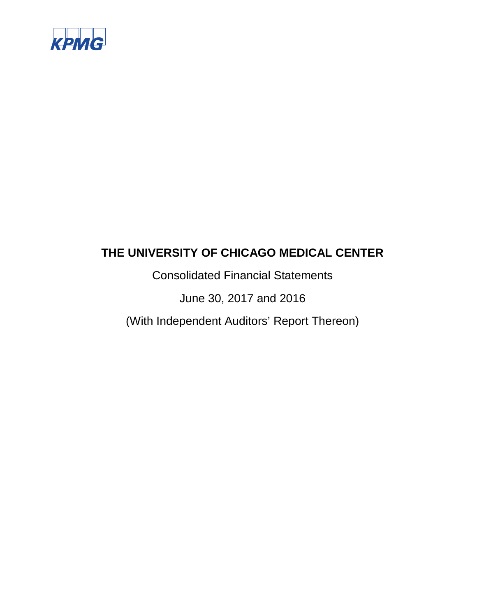

Consolidated Financial Statements

June 30, 2017 and 2016

(With Independent Auditors' Report Thereon)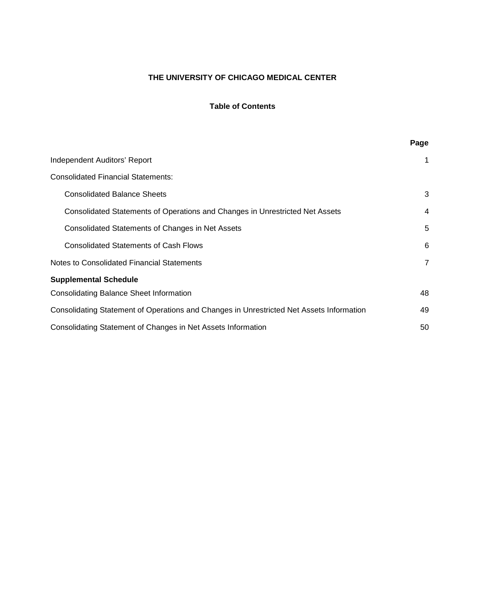# **Table of Contents**

|                                                                                          | Page           |
|------------------------------------------------------------------------------------------|----------------|
| Independent Auditors' Report                                                             | 1              |
| <b>Consolidated Financial Statements:</b>                                                |                |
| <b>Consolidated Balance Sheets</b>                                                       | 3              |
| Consolidated Statements of Operations and Changes in Unrestricted Net Assets             | $\overline{4}$ |
| Consolidated Statements of Changes in Net Assets                                         | 5              |
| <b>Consolidated Statements of Cash Flows</b>                                             | 6              |
| Notes to Consolidated Financial Statements                                               | $\overline{7}$ |
| <b>Supplemental Schedule</b>                                                             |                |
| <b>Consolidating Balance Sheet Information</b>                                           | 48             |
| Consolidating Statement of Operations and Changes in Unrestricted Net Assets Information | 49             |
| Consolidating Statement of Changes in Net Assets Information                             | 50             |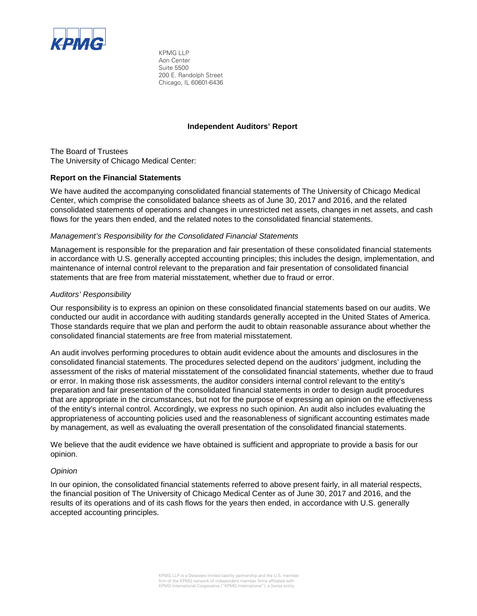

KPMG LLP Aon Center Suite 5500 200 E. Randolph Street Chicago, IL 60601-6436

#### **Independent Auditors' Report**

The Board of Trustees The University of Chicago Medical Center:

#### **Report on the Financial Statements**

We have audited the accompanying consolidated financial statements of The University of Chicago Medical Center, which comprise the consolidated balance sheets as of June 30, 2017 and 2016, and the related consolidated statements of operations and changes in unrestricted net assets, changes in net assets, and cash flows for the years then ended, and the related notes to the consolidated financial statements.

#### *Management's Responsibility for the Consolidated Financial Statements*

Management is responsible for the preparation and fair presentation of these consolidated financial statements in accordance with U.S. generally accepted accounting principles; this includes the design, implementation, and maintenance of internal control relevant to the preparation and fair presentation of consolidated financial statements that are free from material misstatement, whether due to fraud or error.

#### *Auditors' Responsibility*

Our responsibility is to express an opinion on these consolidated financial statements based on our audits. We conducted our audit in accordance with auditing standards generally accepted in the United States of America. Those standards require that we plan and perform the audit to obtain reasonable assurance about whether the consolidated financial statements are free from material misstatement.

An audit involves performing procedures to obtain audit evidence about the amounts and disclosures in the consolidated financial statements. The procedures selected depend on the auditors' judgment, including the assessment of the risks of material misstatement of the consolidated financial statements, whether due to fraud or error. In making those risk assessments, the auditor considers internal control relevant to the entity's preparation and fair presentation of the consolidated financial statements in order to design audit procedures that are appropriate in the circumstances, but not for the purpose of expressing an opinion on the effectiveness of the entity's internal control. Accordingly, we express no such opinion. An audit also includes evaluating the appropriateness of accounting policies used and the reasonableness of significant accounting estimates made by management, as well as evaluating the overall presentation of the consolidated financial statements.

We believe that the audit evidence we have obtained is sufficient and appropriate to provide a basis for our opinion.

#### *Opinion*

In our opinion, the consolidated financial statements referred to above present fairly, in all material respects, the financial position of The University of Chicago Medical Center as of June 30, 2017 and 2016, and the results of its operations and of its cash flows for the years then ended, in accordance with U.S. generally accepted accounting principles.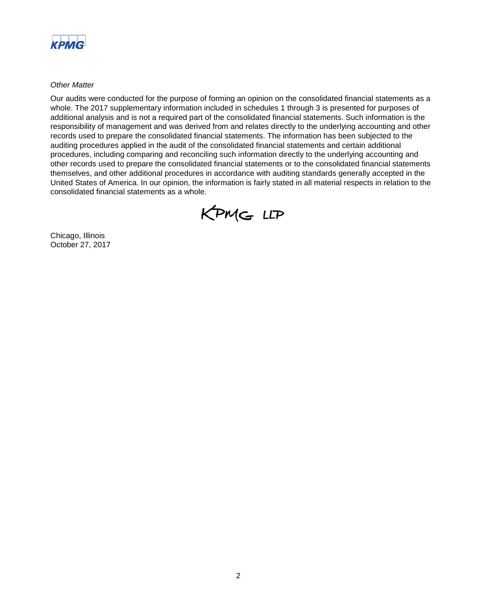

*Other Matter*

Our audits were conducted for the purpose of forming an opinion on the consolidated financial statements as a whole. The 2017 supplementary information included in schedules 1 through 3 is presented for purposes of additional analysis and is not a required part of the consolidated financial statements. Such information is the responsibility of management and was derived from and relates directly to the underlying accounting and other records used to prepare the consolidated financial statements. The information has been subjected to the auditing procedures applied in the audit of the consolidated financial statements and certain additional procedures, including comparing and reconciling such information directly to the underlying accounting and other records used to prepare the consolidated financial statements or to the consolidated financial statements themselves, and other additional procedures in accordance with auditing standards generally accepted in the United States of America. In our opinion, the information is fairly stated in all material respects in relation to the consolidated financial statements as a whole.



Chicago, Illinois October 27, 2017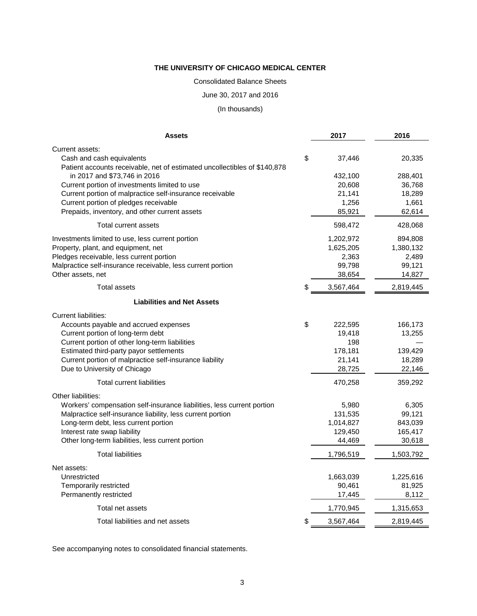Consolidated Balance Sheets

June 30, 2017 and 2016

(In thousands)

| <b>Assets</b>                                                                                             | 2017              | 2016              |
|-----------------------------------------------------------------------------------------------------------|-------------------|-------------------|
| Current assets:                                                                                           |                   |                   |
| Cash and cash equivalents                                                                                 | \$<br>37,446      | 20,335            |
| Patient accounts receivable, net of estimated uncollectibles of \$140,878                                 |                   |                   |
| in 2017 and \$73,746 in 2016                                                                              | 432,100           | 288,401           |
| Current portion of investments limited to use<br>Current portion of malpractice self-insurance receivable | 20,608<br>21,141  | 36,768<br>18,289  |
| Current portion of pledges receivable                                                                     | 1,256             | 1,661             |
| Prepaids, inventory, and other current assets                                                             | 85,921            | 62,614            |
| Total current assets                                                                                      | 598,472           | 428,068           |
| Investments limited to use, less current portion                                                          | 1,202,972         | 894,808           |
| Property, plant, and equipment, net                                                                       | 1,625,205         | 1,380,132         |
| Pledges receivable, less current portion                                                                  | 2,363             | 2,489             |
| Malpractice self-insurance receivable, less current portion                                               | 99,798            | 99,121            |
| Other assets, net                                                                                         | 38,654            | 14,827            |
| <b>Total assets</b>                                                                                       | \$<br>3,567,464   | 2,819,445         |
| <b>Liabilities and Net Assets</b>                                                                         |                   |                   |
| <b>Current liabilities:</b>                                                                               |                   |                   |
| Accounts payable and accrued expenses                                                                     | \$<br>222,595     | 166,173           |
| Current portion of long-term debt                                                                         | 19,418            | 13,255            |
| Current portion of other long-term liabilities                                                            | 198               |                   |
| Estimated third-party payor settlements<br>Current portion of malpractice self-insurance liability        | 178,181<br>21,141 | 139,429<br>18,289 |
| Due to University of Chicago                                                                              | 28,725            | 22,146            |
| <b>Total current liabilities</b>                                                                          | 470,258           | 359,292           |
| Other liabilities:                                                                                        |                   |                   |
| Workers' compensation self-insurance liabilities, less current portion                                    | 5,980             | 6,305             |
| Malpractice self-insurance liability, less current portion                                                | 131,535           | 99,121            |
| Long-term debt, less current portion                                                                      | 1,014,827         | 843,039           |
| Interest rate swap liability                                                                              | 129,450           | 165,417           |
| Other long-term liabilities, less current portion                                                         | 44,469            | 30,618            |
| <b>Total liabilities</b>                                                                                  | 1,796,519         | 1,503,792         |
| Net assets:                                                                                               |                   |                   |
| Unrestricted                                                                                              | 1,663,039         | 1,225,616         |
| Temporarily restricted                                                                                    | 90,461            | 81,925            |
| Permanently restricted                                                                                    | 17,445            | 8,112             |
| Total net assets                                                                                          | 1,770,945         | 1,315,653         |
| Total liabilities and net assets                                                                          | \$<br>3,567,464   | 2,819,445         |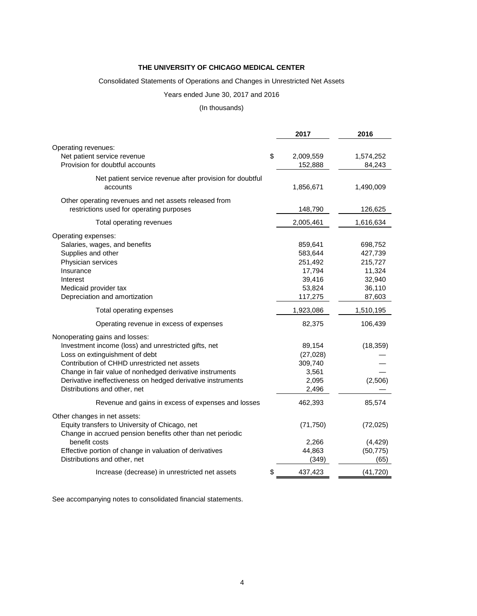#### Consolidated Statements of Operations and Changes in Unrestricted Net Assets

# Years ended June 30, 2017 and 2016

#### (In thousands)

|                                                             | 2017            | 2016      |
|-------------------------------------------------------------|-----------------|-----------|
| Operating revenues:                                         |                 |           |
| Net patient service revenue                                 | \$<br>2,009,559 | 1,574,252 |
| Provision for doubtful accounts                             | 152,888         | 84,243    |
|                                                             |                 |           |
| Net patient service revenue after provision for doubtful    |                 |           |
| accounts                                                    | 1,856,671       | 1,490,009 |
| Other operating revenues and net assets released from       |                 |           |
| restrictions used for operating purposes                    | 148,790         | 126,625   |
| Total operating revenues                                    | 2,005,461       | 1,616,634 |
| Operating expenses:                                         |                 |           |
| Salaries, wages, and benefits                               | 859,641         | 698,752   |
| Supplies and other                                          | 583,644         | 427,739   |
| Physician services                                          | 251,492         | 215,727   |
| Insurance                                                   | 17,794          | 11,324    |
| Interest                                                    | 39,416          | 32,940    |
| Medicaid provider tax                                       | 53,824          | 36,110    |
| Depreciation and amortization                               | 117,275         | 87,603    |
| Total operating expenses                                    | 1,923,086       | 1,510,195 |
| Operating revenue in excess of expenses                     | 82,375          | 106,439   |
| Nonoperating gains and losses:                              |                 |           |
| Investment income (loss) and unrestricted gifts, net        | 89,154          | (18, 359) |
| Loss on extinguishment of debt                              | (27, 028)       |           |
| Contribution of CHHD unrestricted net assets                | 309,740         |           |
| Change in fair value of nonhedged derivative instruments    | 3,561           |           |
| Derivative ineffectiveness on hedged derivative instruments | 2,095           | (2,506)   |
| Distributions and other, net                                | 2,496           |           |
| Revenue and gains in excess of expenses and losses          | 462,393         | 85,574    |
| Other changes in net assets:                                |                 |           |
| Equity transfers to University of Chicago, net              | (71, 750)       | (72, 025) |
| Change in accrued pension benefits other than net periodic  |                 |           |
| benefit costs                                               | 2,266           | (4, 429)  |
| Effective portion of change in valuation of derivatives     | 44,863          | (50, 775) |
| Distributions and other, net                                | (349)           | (65)      |
| Increase (decrease) in unrestricted net assets              | \$<br>437,423   | (41, 720) |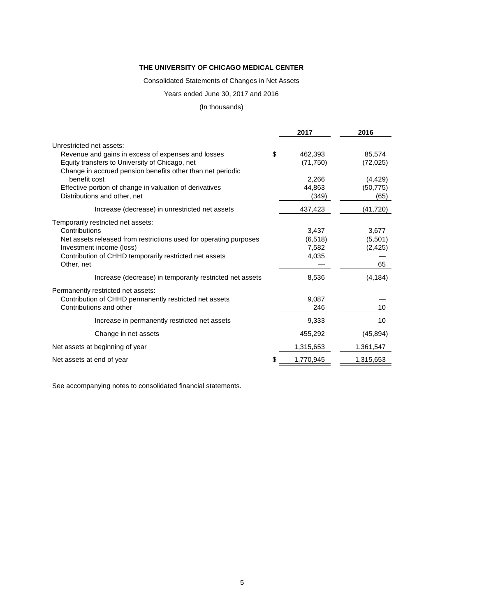#### Consolidated Statements of Changes in Net Assets

# Years ended June 30, 2017 and 2016

#### (In thousands)

|                                                                   | 2017          | 2016      |
|-------------------------------------------------------------------|---------------|-----------|
| Unrestricted net assets:                                          |               |           |
| Revenue and gains in excess of expenses and losses                | \$<br>462,393 | 85,574    |
| Equity transfers to University of Chicago, net                    | (71, 750)     | (72, 025) |
| Change in accrued pension benefits other than net periodic        |               |           |
| benefit cost                                                      | 2,266         | (4, 429)  |
| Effective portion of change in valuation of derivatives           | 44,863        | (50, 775) |
| Distributions and other, net                                      | (349)         | (65)      |
| Increase (decrease) in unrestricted net assets                    | 437,423       | (41,720)  |
| Temporarily restricted net assets:                                |               |           |
| Contributions                                                     | 3,437         | 3,677     |
| Net assets released from restrictions used for operating purposes | (6, 518)      | (5,501)   |
| Investment income (loss)                                          | 7,582         | (2, 425)  |
| Contribution of CHHD temporarily restricted net assets            | 4,035         |           |
| Other, net                                                        |               | 65        |
| Increase (decrease) in temporarily restricted net assets          | 8,536         | (4, 184)  |
| Permanently restricted net assets:                                |               |           |
| Contribution of CHHD permanently restricted net assets            | 9,087         |           |
| Contributions and other                                           | 246           | 10        |
| Increase in permanently restricted net assets                     | 9,333         | 10        |
| Change in net assets                                              | 455,292       | (45, 894) |
| Net assets at beginning of year                                   | 1,315,653     | 1,361,547 |
| Net assets at end of year                                         | 1,770,945     | 1,315,653 |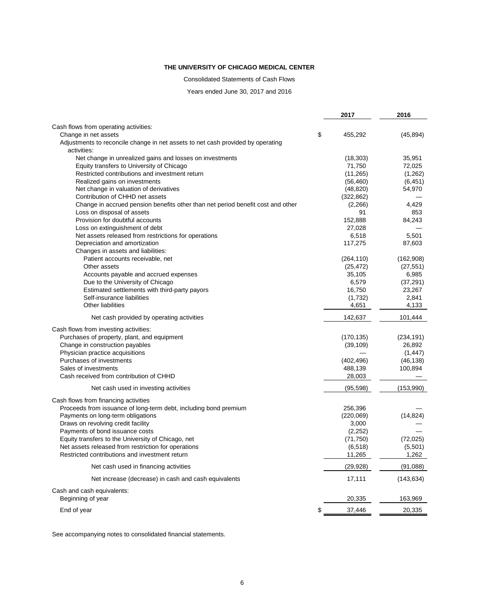Consolidated Statements of Cash Flows

Years ended June 30, 2017 and 2016

| Cash flows from operating activities:<br>\$<br>Change in net assets<br>455,292<br>(45, 894)<br>Adjustments to reconcile change in net assets to net cash provided by operating<br>activities:<br>Net change in unrealized gains and losses on investments<br>35,951<br>(18, 303)<br>Equity transfers to University of Chicago<br>71,750<br>72,025<br>Restricted contributions and investment return<br>(11, 265)<br>(1,262)<br>Realized gains on investments<br>(56, 460)<br>(6, 451)<br>Net change in valuation of derivatives<br>(48, 820)<br>54,970<br>Contribution of CHHD net assets<br>(322, 862)<br>Change in accrued pension benefits other than net period benefit cost and other<br>4,429<br>(2,266)<br>Loss on disposal of assets<br>91<br>853<br>152,888<br>Provision for doubtful accounts<br>84,243<br>27,028<br>Loss on extinguishment of debt<br>Net assets released from restrictions for operations<br>6,518<br>5,501<br>Depreciation and amortization<br>117,275<br>87,603<br>Changes in assets and liabilities:<br>Patient accounts receivable, net<br>(264, 110)<br>(162,908)<br>Other assets<br>(25, 472)<br>(27, 551)<br>35,105<br>6,985<br>Accounts payable and accrued expenses<br>Due to the University of Chicago<br>6,579<br>(37, 291)<br>Estimated settlements with third-party payors<br>16,750<br>23,267<br>Self-insurance liabilities<br>2,841<br>(1,732)<br>Other liabilities<br>4,133<br>4,651<br>Net cash provided by operating activities<br>142,637<br>101,444<br>Cash flows from investing activities:<br>Purchases of property, plant, and equipment<br>(170, 135)<br>(234, 191)<br>Change in construction payables<br>26,892<br>(39, 109)<br>Physician practice acquisitions<br>(1, 447)<br>Purchases of investments<br>(402, 496)<br>(46, 138)<br>100,894<br>Sales of investments<br>488,139<br>Cash received from contribution of CHHD<br>28,003<br>(95, 598)<br>(153,990)<br>Net cash used in investing activities<br>Cash flows from financing activities<br>Proceeds from issuance of long-term debt, including bond premium<br>256,396<br>Payments on long-term obligations<br>(220,069)<br>(14, 824)<br>Draws on revolving credit facility<br>3,000<br>Payments of bond issuance costs<br>(2,252)<br>Equity transfers to the University of Chicago, net<br>(72, 025)<br>(71, 750)<br>Net assets released from restriction for operations<br>(5,501)<br>(6, 518)<br>Restricted contributions and investment return<br>11,265<br>1,262<br>Net cash used in financing activities<br>(29, 928)<br>(91,088)<br>Net increase (decrease) in cash and cash equivalents<br>17,111<br>(143, 634)<br>Cash and cash equivalents:<br>Beginning of year<br>20,335<br>163,969<br>\$<br>37,446<br>20,335<br>End of year |  | 2017 | 2016 |
|--------------------------------------------------------------------------------------------------------------------------------------------------------------------------------------------------------------------------------------------------------------------------------------------------------------------------------------------------------------------------------------------------------------------------------------------------------------------------------------------------------------------------------------------------------------------------------------------------------------------------------------------------------------------------------------------------------------------------------------------------------------------------------------------------------------------------------------------------------------------------------------------------------------------------------------------------------------------------------------------------------------------------------------------------------------------------------------------------------------------------------------------------------------------------------------------------------------------------------------------------------------------------------------------------------------------------------------------------------------------------------------------------------------------------------------------------------------------------------------------------------------------------------------------------------------------------------------------------------------------------------------------------------------------------------------------------------------------------------------------------------------------------------------------------------------------------------------------------------------------------------------------------------------------------------------------------------------------------------------------------------------------------------------------------------------------------------------------------------------------------------------------------------------------------------------------------------------------------------------------------------------------------------------------------------------------------------------------------------------------------------------------------------------------------------------------------------------------------------------------------------------------------------------------------------------------------------------------------------------------------------------------------------------------------------------------------------------------------------------------------------|--|------|------|
|                                                                                                                                                                                                                                                                                                                                                                                                                                                                                                                                                                                                                                                                                                                                                                                                                                                                                                                                                                                                                                                                                                                                                                                                                                                                                                                                                                                                                                                                                                                                                                                                                                                                                                                                                                                                                                                                                                                                                                                                                                                                                                                                                                                                                                                                                                                                                                                                                                                                                                                                                                                                                                                                                                                                                        |  |      |      |
|                                                                                                                                                                                                                                                                                                                                                                                                                                                                                                                                                                                                                                                                                                                                                                                                                                                                                                                                                                                                                                                                                                                                                                                                                                                                                                                                                                                                                                                                                                                                                                                                                                                                                                                                                                                                                                                                                                                                                                                                                                                                                                                                                                                                                                                                                                                                                                                                                                                                                                                                                                                                                                                                                                                                                        |  |      |      |
|                                                                                                                                                                                                                                                                                                                                                                                                                                                                                                                                                                                                                                                                                                                                                                                                                                                                                                                                                                                                                                                                                                                                                                                                                                                                                                                                                                                                                                                                                                                                                                                                                                                                                                                                                                                                                                                                                                                                                                                                                                                                                                                                                                                                                                                                                                                                                                                                                                                                                                                                                                                                                                                                                                                                                        |  |      |      |
|                                                                                                                                                                                                                                                                                                                                                                                                                                                                                                                                                                                                                                                                                                                                                                                                                                                                                                                                                                                                                                                                                                                                                                                                                                                                                                                                                                                                                                                                                                                                                                                                                                                                                                                                                                                                                                                                                                                                                                                                                                                                                                                                                                                                                                                                                                                                                                                                                                                                                                                                                                                                                                                                                                                                                        |  |      |      |
|                                                                                                                                                                                                                                                                                                                                                                                                                                                                                                                                                                                                                                                                                                                                                                                                                                                                                                                                                                                                                                                                                                                                                                                                                                                                                                                                                                                                                                                                                                                                                                                                                                                                                                                                                                                                                                                                                                                                                                                                                                                                                                                                                                                                                                                                                                                                                                                                                                                                                                                                                                                                                                                                                                                                                        |  |      |      |
|                                                                                                                                                                                                                                                                                                                                                                                                                                                                                                                                                                                                                                                                                                                                                                                                                                                                                                                                                                                                                                                                                                                                                                                                                                                                                                                                                                                                                                                                                                                                                                                                                                                                                                                                                                                                                                                                                                                                                                                                                                                                                                                                                                                                                                                                                                                                                                                                                                                                                                                                                                                                                                                                                                                                                        |  |      |      |
|                                                                                                                                                                                                                                                                                                                                                                                                                                                                                                                                                                                                                                                                                                                                                                                                                                                                                                                                                                                                                                                                                                                                                                                                                                                                                                                                                                                                                                                                                                                                                                                                                                                                                                                                                                                                                                                                                                                                                                                                                                                                                                                                                                                                                                                                                                                                                                                                                                                                                                                                                                                                                                                                                                                                                        |  |      |      |
|                                                                                                                                                                                                                                                                                                                                                                                                                                                                                                                                                                                                                                                                                                                                                                                                                                                                                                                                                                                                                                                                                                                                                                                                                                                                                                                                                                                                                                                                                                                                                                                                                                                                                                                                                                                                                                                                                                                                                                                                                                                                                                                                                                                                                                                                                                                                                                                                                                                                                                                                                                                                                                                                                                                                                        |  |      |      |
|                                                                                                                                                                                                                                                                                                                                                                                                                                                                                                                                                                                                                                                                                                                                                                                                                                                                                                                                                                                                                                                                                                                                                                                                                                                                                                                                                                                                                                                                                                                                                                                                                                                                                                                                                                                                                                                                                                                                                                                                                                                                                                                                                                                                                                                                                                                                                                                                                                                                                                                                                                                                                                                                                                                                                        |  |      |      |
|                                                                                                                                                                                                                                                                                                                                                                                                                                                                                                                                                                                                                                                                                                                                                                                                                                                                                                                                                                                                                                                                                                                                                                                                                                                                                                                                                                                                                                                                                                                                                                                                                                                                                                                                                                                                                                                                                                                                                                                                                                                                                                                                                                                                                                                                                                                                                                                                                                                                                                                                                                                                                                                                                                                                                        |  |      |      |
|                                                                                                                                                                                                                                                                                                                                                                                                                                                                                                                                                                                                                                                                                                                                                                                                                                                                                                                                                                                                                                                                                                                                                                                                                                                                                                                                                                                                                                                                                                                                                                                                                                                                                                                                                                                                                                                                                                                                                                                                                                                                                                                                                                                                                                                                                                                                                                                                                                                                                                                                                                                                                                                                                                                                                        |  |      |      |
|                                                                                                                                                                                                                                                                                                                                                                                                                                                                                                                                                                                                                                                                                                                                                                                                                                                                                                                                                                                                                                                                                                                                                                                                                                                                                                                                                                                                                                                                                                                                                                                                                                                                                                                                                                                                                                                                                                                                                                                                                                                                                                                                                                                                                                                                                                                                                                                                                                                                                                                                                                                                                                                                                                                                                        |  |      |      |
|                                                                                                                                                                                                                                                                                                                                                                                                                                                                                                                                                                                                                                                                                                                                                                                                                                                                                                                                                                                                                                                                                                                                                                                                                                                                                                                                                                                                                                                                                                                                                                                                                                                                                                                                                                                                                                                                                                                                                                                                                                                                                                                                                                                                                                                                                                                                                                                                                                                                                                                                                                                                                                                                                                                                                        |  |      |      |
|                                                                                                                                                                                                                                                                                                                                                                                                                                                                                                                                                                                                                                                                                                                                                                                                                                                                                                                                                                                                                                                                                                                                                                                                                                                                                                                                                                                                                                                                                                                                                                                                                                                                                                                                                                                                                                                                                                                                                                                                                                                                                                                                                                                                                                                                                                                                                                                                                                                                                                                                                                                                                                                                                                                                                        |  |      |      |
|                                                                                                                                                                                                                                                                                                                                                                                                                                                                                                                                                                                                                                                                                                                                                                                                                                                                                                                                                                                                                                                                                                                                                                                                                                                                                                                                                                                                                                                                                                                                                                                                                                                                                                                                                                                                                                                                                                                                                                                                                                                                                                                                                                                                                                                                                                                                                                                                                                                                                                                                                                                                                                                                                                                                                        |  |      |      |
|                                                                                                                                                                                                                                                                                                                                                                                                                                                                                                                                                                                                                                                                                                                                                                                                                                                                                                                                                                                                                                                                                                                                                                                                                                                                                                                                                                                                                                                                                                                                                                                                                                                                                                                                                                                                                                                                                                                                                                                                                                                                                                                                                                                                                                                                                                                                                                                                                                                                                                                                                                                                                                                                                                                                                        |  |      |      |
|                                                                                                                                                                                                                                                                                                                                                                                                                                                                                                                                                                                                                                                                                                                                                                                                                                                                                                                                                                                                                                                                                                                                                                                                                                                                                                                                                                                                                                                                                                                                                                                                                                                                                                                                                                                                                                                                                                                                                                                                                                                                                                                                                                                                                                                                                                                                                                                                                                                                                                                                                                                                                                                                                                                                                        |  |      |      |
|                                                                                                                                                                                                                                                                                                                                                                                                                                                                                                                                                                                                                                                                                                                                                                                                                                                                                                                                                                                                                                                                                                                                                                                                                                                                                                                                                                                                                                                                                                                                                                                                                                                                                                                                                                                                                                                                                                                                                                                                                                                                                                                                                                                                                                                                                                                                                                                                                                                                                                                                                                                                                                                                                                                                                        |  |      |      |
|                                                                                                                                                                                                                                                                                                                                                                                                                                                                                                                                                                                                                                                                                                                                                                                                                                                                                                                                                                                                                                                                                                                                                                                                                                                                                                                                                                                                                                                                                                                                                                                                                                                                                                                                                                                                                                                                                                                                                                                                                                                                                                                                                                                                                                                                                                                                                                                                                                                                                                                                                                                                                                                                                                                                                        |  |      |      |
|                                                                                                                                                                                                                                                                                                                                                                                                                                                                                                                                                                                                                                                                                                                                                                                                                                                                                                                                                                                                                                                                                                                                                                                                                                                                                                                                                                                                                                                                                                                                                                                                                                                                                                                                                                                                                                                                                                                                                                                                                                                                                                                                                                                                                                                                                                                                                                                                                                                                                                                                                                                                                                                                                                                                                        |  |      |      |
|                                                                                                                                                                                                                                                                                                                                                                                                                                                                                                                                                                                                                                                                                                                                                                                                                                                                                                                                                                                                                                                                                                                                                                                                                                                                                                                                                                                                                                                                                                                                                                                                                                                                                                                                                                                                                                                                                                                                                                                                                                                                                                                                                                                                                                                                                                                                                                                                                                                                                                                                                                                                                                                                                                                                                        |  |      |      |
|                                                                                                                                                                                                                                                                                                                                                                                                                                                                                                                                                                                                                                                                                                                                                                                                                                                                                                                                                                                                                                                                                                                                                                                                                                                                                                                                                                                                                                                                                                                                                                                                                                                                                                                                                                                                                                                                                                                                                                                                                                                                                                                                                                                                                                                                                                                                                                                                                                                                                                                                                                                                                                                                                                                                                        |  |      |      |
|                                                                                                                                                                                                                                                                                                                                                                                                                                                                                                                                                                                                                                                                                                                                                                                                                                                                                                                                                                                                                                                                                                                                                                                                                                                                                                                                                                                                                                                                                                                                                                                                                                                                                                                                                                                                                                                                                                                                                                                                                                                                                                                                                                                                                                                                                                                                                                                                                                                                                                                                                                                                                                                                                                                                                        |  |      |      |
|                                                                                                                                                                                                                                                                                                                                                                                                                                                                                                                                                                                                                                                                                                                                                                                                                                                                                                                                                                                                                                                                                                                                                                                                                                                                                                                                                                                                                                                                                                                                                                                                                                                                                                                                                                                                                                                                                                                                                                                                                                                                                                                                                                                                                                                                                                                                                                                                                                                                                                                                                                                                                                                                                                                                                        |  |      |      |
|                                                                                                                                                                                                                                                                                                                                                                                                                                                                                                                                                                                                                                                                                                                                                                                                                                                                                                                                                                                                                                                                                                                                                                                                                                                                                                                                                                                                                                                                                                                                                                                                                                                                                                                                                                                                                                                                                                                                                                                                                                                                                                                                                                                                                                                                                                                                                                                                                                                                                                                                                                                                                                                                                                                                                        |  |      |      |
|                                                                                                                                                                                                                                                                                                                                                                                                                                                                                                                                                                                                                                                                                                                                                                                                                                                                                                                                                                                                                                                                                                                                                                                                                                                                                                                                                                                                                                                                                                                                                                                                                                                                                                                                                                                                                                                                                                                                                                                                                                                                                                                                                                                                                                                                                                                                                                                                                                                                                                                                                                                                                                                                                                                                                        |  |      |      |
|                                                                                                                                                                                                                                                                                                                                                                                                                                                                                                                                                                                                                                                                                                                                                                                                                                                                                                                                                                                                                                                                                                                                                                                                                                                                                                                                                                                                                                                                                                                                                                                                                                                                                                                                                                                                                                                                                                                                                                                                                                                                                                                                                                                                                                                                                                                                                                                                                                                                                                                                                                                                                                                                                                                                                        |  |      |      |
|                                                                                                                                                                                                                                                                                                                                                                                                                                                                                                                                                                                                                                                                                                                                                                                                                                                                                                                                                                                                                                                                                                                                                                                                                                                                                                                                                                                                                                                                                                                                                                                                                                                                                                                                                                                                                                                                                                                                                                                                                                                                                                                                                                                                                                                                                                                                                                                                                                                                                                                                                                                                                                                                                                                                                        |  |      |      |
|                                                                                                                                                                                                                                                                                                                                                                                                                                                                                                                                                                                                                                                                                                                                                                                                                                                                                                                                                                                                                                                                                                                                                                                                                                                                                                                                                                                                                                                                                                                                                                                                                                                                                                                                                                                                                                                                                                                                                                                                                                                                                                                                                                                                                                                                                                                                                                                                                                                                                                                                                                                                                                                                                                                                                        |  |      |      |
|                                                                                                                                                                                                                                                                                                                                                                                                                                                                                                                                                                                                                                                                                                                                                                                                                                                                                                                                                                                                                                                                                                                                                                                                                                                                                                                                                                                                                                                                                                                                                                                                                                                                                                                                                                                                                                                                                                                                                                                                                                                                                                                                                                                                                                                                                                                                                                                                                                                                                                                                                                                                                                                                                                                                                        |  |      |      |
|                                                                                                                                                                                                                                                                                                                                                                                                                                                                                                                                                                                                                                                                                                                                                                                                                                                                                                                                                                                                                                                                                                                                                                                                                                                                                                                                                                                                                                                                                                                                                                                                                                                                                                                                                                                                                                                                                                                                                                                                                                                                                                                                                                                                                                                                                                                                                                                                                                                                                                                                                                                                                                                                                                                                                        |  |      |      |
|                                                                                                                                                                                                                                                                                                                                                                                                                                                                                                                                                                                                                                                                                                                                                                                                                                                                                                                                                                                                                                                                                                                                                                                                                                                                                                                                                                                                                                                                                                                                                                                                                                                                                                                                                                                                                                                                                                                                                                                                                                                                                                                                                                                                                                                                                                                                                                                                                                                                                                                                                                                                                                                                                                                                                        |  |      |      |
|                                                                                                                                                                                                                                                                                                                                                                                                                                                                                                                                                                                                                                                                                                                                                                                                                                                                                                                                                                                                                                                                                                                                                                                                                                                                                                                                                                                                                                                                                                                                                                                                                                                                                                                                                                                                                                                                                                                                                                                                                                                                                                                                                                                                                                                                                                                                                                                                                                                                                                                                                                                                                                                                                                                                                        |  |      |      |
|                                                                                                                                                                                                                                                                                                                                                                                                                                                                                                                                                                                                                                                                                                                                                                                                                                                                                                                                                                                                                                                                                                                                                                                                                                                                                                                                                                                                                                                                                                                                                                                                                                                                                                                                                                                                                                                                                                                                                                                                                                                                                                                                                                                                                                                                                                                                                                                                                                                                                                                                                                                                                                                                                                                                                        |  |      |      |
|                                                                                                                                                                                                                                                                                                                                                                                                                                                                                                                                                                                                                                                                                                                                                                                                                                                                                                                                                                                                                                                                                                                                                                                                                                                                                                                                                                                                                                                                                                                                                                                                                                                                                                                                                                                                                                                                                                                                                                                                                                                                                                                                                                                                                                                                                                                                                                                                                                                                                                                                                                                                                                                                                                                                                        |  |      |      |
|                                                                                                                                                                                                                                                                                                                                                                                                                                                                                                                                                                                                                                                                                                                                                                                                                                                                                                                                                                                                                                                                                                                                                                                                                                                                                                                                                                                                                                                                                                                                                                                                                                                                                                                                                                                                                                                                                                                                                                                                                                                                                                                                                                                                                                                                                                                                                                                                                                                                                                                                                                                                                                                                                                                                                        |  |      |      |
|                                                                                                                                                                                                                                                                                                                                                                                                                                                                                                                                                                                                                                                                                                                                                                                                                                                                                                                                                                                                                                                                                                                                                                                                                                                                                                                                                                                                                                                                                                                                                                                                                                                                                                                                                                                                                                                                                                                                                                                                                                                                                                                                                                                                                                                                                                                                                                                                                                                                                                                                                                                                                                                                                                                                                        |  |      |      |
|                                                                                                                                                                                                                                                                                                                                                                                                                                                                                                                                                                                                                                                                                                                                                                                                                                                                                                                                                                                                                                                                                                                                                                                                                                                                                                                                                                                                                                                                                                                                                                                                                                                                                                                                                                                                                                                                                                                                                                                                                                                                                                                                                                                                                                                                                                                                                                                                                                                                                                                                                                                                                                                                                                                                                        |  |      |      |
|                                                                                                                                                                                                                                                                                                                                                                                                                                                                                                                                                                                                                                                                                                                                                                                                                                                                                                                                                                                                                                                                                                                                                                                                                                                                                                                                                                                                                                                                                                                                                                                                                                                                                                                                                                                                                                                                                                                                                                                                                                                                                                                                                                                                                                                                                                                                                                                                                                                                                                                                                                                                                                                                                                                                                        |  |      |      |
|                                                                                                                                                                                                                                                                                                                                                                                                                                                                                                                                                                                                                                                                                                                                                                                                                                                                                                                                                                                                                                                                                                                                                                                                                                                                                                                                                                                                                                                                                                                                                                                                                                                                                                                                                                                                                                                                                                                                                                                                                                                                                                                                                                                                                                                                                                                                                                                                                                                                                                                                                                                                                                                                                                                                                        |  |      |      |
|                                                                                                                                                                                                                                                                                                                                                                                                                                                                                                                                                                                                                                                                                                                                                                                                                                                                                                                                                                                                                                                                                                                                                                                                                                                                                                                                                                                                                                                                                                                                                                                                                                                                                                                                                                                                                                                                                                                                                                                                                                                                                                                                                                                                                                                                                                                                                                                                                                                                                                                                                                                                                                                                                                                                                        |  |      |      |
|                                                                                                                                                                                                                                                                                                                                                                                                                                                                                                                                                                                                                                                                                                                                                                                                                                                                                                                                                                                                                                                                                                                                                                                                                                                                                                                                                                                                                                                                                                                                                                                                                                                                                                                                                                                                                                                                                                                                                                                                                                                                                                                                                                                                                                                                                                                                                                                                                                                                                                                                                                                                                                                                                                                                                        |  |      |      |
|                                                                                                                                                                                                                                                                                                                                                                                                                                                                                                                                                                                                                                                                                                                                                                                                                                                                                                                                                                                                                                                                                                                                                                                                                                                                                                                                                                                                                                                                                                                                                                                                                                                                                                                                                                                                                                                                                                                                                                                                                                                                                                                                                                                                                                                                                                                                                                                                                                                                                                                                                                                                                                                                                                                                                        |  |      |      |
|                                                                                                                                                                                                                                                                                                                                                                                                                                                                                                                                                                                                                                                                                                                                                                                                                                                                                                                                                                                                                                                                                                                                                                                                                                                                                                                                                                                                                                                                                                                                                                                                                                                                                                                                                                                                                                                                                                                                                                                                                                                                                                                                                                                                                                                                                                                                                                                                                                                                                                                                                                                                                                                                                                                                                        |  |      |      |
|                                                                                                                                                                                                                                                                                                                                                                                                                                                                                                                                                                                                                                                                                                                                                                                                                                                                                                                                                                                                                                                                                                                                                                                                                                                                                                                                                                                                                                                                                                                                                                                                                                                                                                                                                                                                                                                                                                                                                                                                                                                                                                                                                                                                                                                                                                                                                                                                                                                                                                                                                                                                                                                                                                                                                        |  |      |      |
|                                                                                                                                                                                                                                                                                                                                                                                                                                                                                                                                                                                                                                                                                                                                                                                                                                                                                                                                                                                                                                                                                                                                                                                                                                                                                                                                                                                                                                                                                                                                                                                                                                                                                                                                                                                                                                                                                                                                                                                                                                                                                                                                                                                                                                                                                                                                                                                                                                                                                                                                                                                                                                                                                                                                                        |  |      |      |
|                                                                                                                                                                                                                                                                                                                                                                                                                                                                                                                                                                                                                                                                                                                                                                                                                                                                                                                                                                                                                                                                                                                                                                                                                                                                                                                                                                                                                                                                                                                                                                                                                                                                                                                                                                                                                                                                                                                                                                                                                                                                                                                                                                                                                                                                                                                                                                                                                                                                                                                                                                                                                                                                                                                                                        |  |      |      |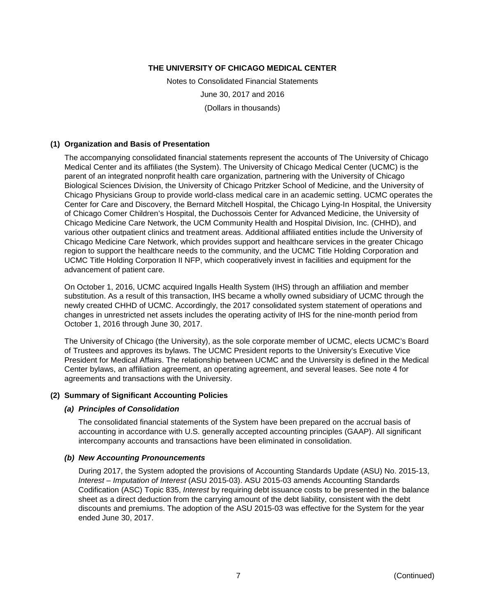Notes to Consolidated Financial Statements June 30, 2017 and 2016 (Dollars in thousands)

#### **(1) Organization and Basis of Presentation**

The accompanying consolidated financial statements represent the accounts of The University of Chicago Medical Center and its affiliates (the System). The University of Chicago Medical Center (UCMC) is the parent of an integrated nonprofit health care organization, partnering with the University of Chicago Biological Sciences Division, the University of Chicago Pritzker School of Medicine, and the University of Chicago Physicians Group to provide world-class medical care in an academic setting. UCMC operates the Center for Care and Discovery, the Bernard Mitchell Hospital, the Chicago Lying-In Hospital, the University of Chicago Comer Children's Hospital, the Duchossois Center for Advanced Medicine, the University of Chicago Medicine Care Network, the UCM Community Health and Hospital Division, Inc. (CHHD), and various other outpatient clinics and treatment areas. Additional affiliated entities include the University of Chicago Medicine Care Network, which provides support and healthcare services in the greater Chicago region to support the healthcare needs to the community, and the UCMC Title Holding Corporation and UCMC Title Holding Corporation II NFP, which cooperatively invest in facilities and equipment for the advancement of patient care.

On October 1, 2016, UCMC acquired Ingalls Health System (IHS) through an affiliation and member substitution. As a result of this transaction, IHS became a wholly owned subsidiary of UCMC through the newly created CHHD of UCMC. Accordingly, the 2017 consolidated system statement of operations and changes in unrestricted net assets includes the operating activity of IHS for the nine-month period from October 1, 2016 through June 30, 2017.

The University of Chicago (the University), as the sole corporate member of UCMC, elects UCMC's Board of Trustees and approves its bylaws. The UCMC President reports to the University's Executive Vice President for Medical Affairs. The relationship between UCMC and the University is defined in the Medical Center bylaws, an affiliation agreement, an operating agreement, and several leases. See note 4 for agreements and transactions with the University.

#### **(2) Summary of Significant Accounting Policies**

# *(a) Principles of Consolidation*

The consolidated financial statements of the System have been prepared on the accrual basis of accounting in accordance with U.S. generally accepted accounting principles (GAAP). All significant intercompany accounts and transactions have been eliminated in consolidation.

#### *(b) New Accounting Pronouncements*

During 2017, the System adopted the provisions of Accounting Standards Update (ASU) No. 2015-13, *Interest – Imputation of Interest* (ASU 2015-03). ASU 2015-03 amends Accounting Standards Codification (ASC) Topic 835, *Interest* by requiring debt issuance costs to be presented in the balance sheet as a direct deduction from the carrying amount of the debt liability, consistent with the debt discounts and premiums. The adoption of the ASU 2015-03 was effective for the System for the year ended June 30, 2017.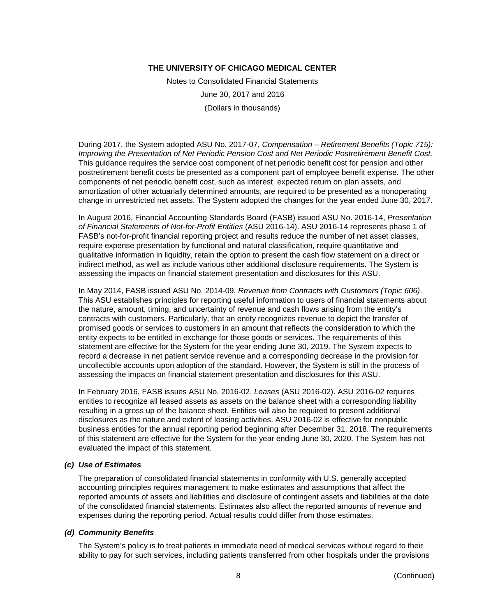Notes to Consolidated Financial Statements June 30, 2017 and 2016 (Dollars in thousands)

During 2017, the System adopted ASU No. 2017-07, *Compensation – Retirement Benefits (Topic 715): Improving the Presentation of Net Periodic Pension Cost and Net Periodic Postretirement Benefit Cost.* This guidance requires the service cost component of net periodic benefit cost for pension and other postretirement benefit costs be presented as a component part of employee benefit expense. The other components of net periodic benefit cost, such as interest, expected return on plan assets, and amortization of other actuarially determined amounts, are required to be presented as a nonoperating change in unrestricted net assets. The System adopted the changes for the year ended June 30, 2017.

In August 2016, Financial Accounting Standards Board (FASB) issued ASU No. 2016-14, *Presentation of Financial Statements of Not-for-Profit Entities* (ASU 2016-14). ASU 2016-14 represents phase 1 of FASB's not-for-profit financial reporting project and results reduce the number of net asset classes, require expense presentation by functional and natural classification, require quantitative and qualitative information in liquidity, retain the option to present the cash flow statement on a direct or indirect method, as well as include various other additional disclosure requirements. The System is assessing the impacts on financial statement presentation and disclosures for this ASU.

In May 2014, FASB issued ASU No. 2014-09, *Revenue from Contracts with Customers (Topic 606)*. This ASU establishes principles for reporting useful information to users of financial statements about the nature, amount, timing, and uncertainty of revenue and cash flows arising from the entity's contracts with customers. Particularly, that an entity recognizes revenue to depict the transfer of promised goods or services to customers in an amount that reflects the consideration to which the entity expects to be entitled in exchange for those goods or services. The requirements of this statement are effective for the System for the year ending June 30, 2019. The System expects to record a decrease in net patient service revenue and a corresponding decrease in the provision for uncollectible accounts upon adoption of the standard. However, the System is still in the process of assessing the impacts on financial statement presentation and disclosures for this ASU.

In February 2016, FASB issues ASU No. 2016-02, *Leases* (ASU 2016-02). ASU 2016-02 requires entities to recognize all leased assets as assets on the balance sheet with a corresponding liability resulting in a gross up of the balance sheet. Entities will also be required to present additional disclosures as the nature and extent of leasing activities. ASU 2016-02 is effective for nonpublic business entities for the annual reporting period beginning after December 31, 2018. The requirements of this statement are effective for the System for the year ending June 30, 2020. The System has not evaluated the impact of this statement.

#### *(c) Use of Estimates*

The preparation of consolidated financial statements in conformity with U.S. generally accepted accounting principles requires management to make estimates and assumptions that affect the reported amounts of assets and liabilities and disclosure of contingent assets and liabilities at the date of the consolidated financial statements. Estimates also affect the reported amounts of revenue and expenses during the reporting period. Actual results could differ from those estimates.

#### *(d) Community Benefits*

The System's policy is to treat patients in immediate need of medical services without regard to their ability to pay for such services, including patients transferred from other hospitals under the provisions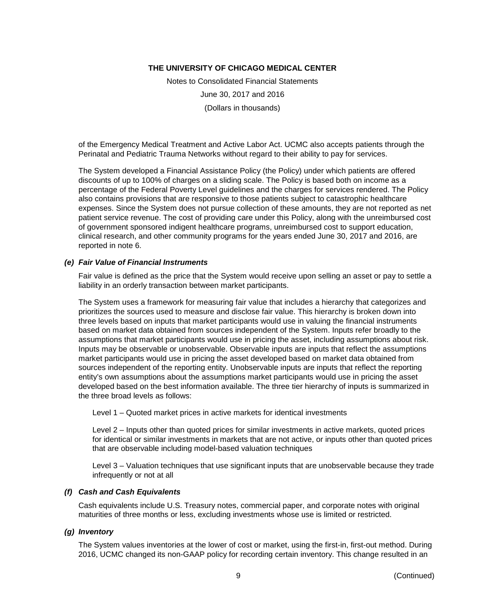Notes to Consolidated Financial Statements June 30, 2017 and 2016 (Dollars in thousands)

of the Emergency Medical Treatment and Active Labor Act. UCMC also accepts patients through the Perinatal and Pediatric Trauma Networks without regard to their ability to pay for services.

The System developed a Financial Assistance Policy (the Policy) under which patients are offered discounts of up to 100% of charges on a sliding scale. The Policy is based both on income as a percentage of the Federal Poverty Level guidelines and the charges for services rendered. The Policy also contains provisions that are responsive to those patients subject to catastrophic healthcare expenses. Since the System does not pursue collection of these amounts, they are not reported as net patient service revenue. The cost of providing care under this Policy, along with the unreimbursed cost of government sponsored indigent healthcare programs, unreimbursed cost to support education, clinical research, and other community programs for the years ended June 30, 2017 and 2016, are reported in note 6.

#### *(e) Fair Value of Financial Instruments*

Fair value is defined as the price that the System would receive upon selling an asset or pay to settle a liability in an orderly transaction between market participants.

The System uses a framework for measuring fair value that includes a hierarchy that categorizes and prioritizes the sources used to measure and disclose fair value. This hierarchy is broken down into three levels based on inputs that market participants would use in valuing the financial instruments based on market data obtained from sources independent of the System. Inputs refer broadly to the assumptions that market participants would use in pricing the asset, including assumptions about risk. Inputs may be observable or unobservable. Observable inputs are inputs that reflect the assumptions market participants would use in pricing the asset developed based on market data obtained from sources independent of the reporting entity. Unobservable inputs are inputs that reflect the reporting entity's own assumptions about the assumptions market participants would use in pricing the asset developed based on the best information available. The three tier hierarchy of inputs is summarized in the three broad levels as follows:

Level 1 – Quoted market prices in active markets for identical investments

Level 2 – Inputs other than quoted prices for similar investments in active markets, quoted prices for identical or similar investments in markets that are not active, or inputs other than quoted prices that are observable including model-based valuation techniques

Level 3 – Valuation techniques that use significant inputs that are unobservable because they trade infrequently or not at all

#### *(f) Cash and Cash Equivalents*

Cash equivalents include U.S. Treasury notes, commercial paper, and corporate notes with original maturities of three months or less, excluding investments whose use is limited or restricted.

#### *(g) Inventory*

The System values inventories at the lower of cost or market, using the first-in, first-out method. During 2016, UCMC changed its non-GAAP policy for recording certain inventory. This change resulted in an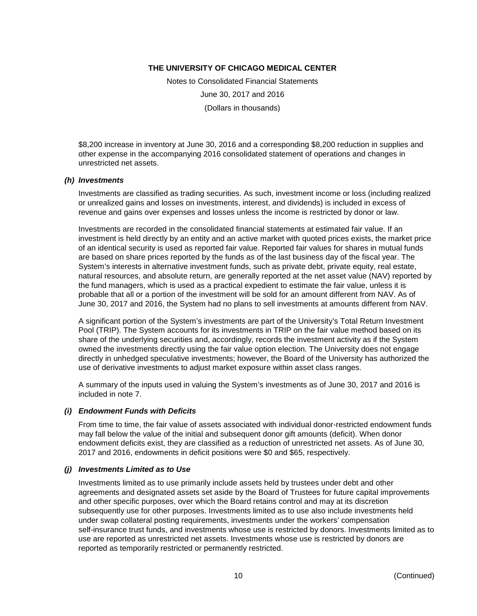Notes to Consolidated Financial Statements June 30, 2017 and 2016 (Dollars in thousands)

\$8,200 increase in inventory at June 30, 2016 and a corresponding \$8,200 reduction in supplies and other expense in the accompanying 2016 consolidated statement of operations and changes in unrestricted net assets.

#### *(h) Investments*

Investments are classified as trading securities. As such, investment income or loss (including realized or unrealized gains and losses on investments, interest, and dividends) is included in excess of revenue and gains over expenses and losses unless the income is restricted by donor or law.

Investments are recorded in the consolidated financial statements at estimated fair value. If an investment is held directly by an entity and an active market with quoted prices exists, the market price of an identical security is used as reported fair value. Reported fair values for shares in mutual funds are based on share prices reported by the funds as of the last business day of the fiscal year. The System's interests in alternative investment funds, such as private debt, private equity, real estate, natural resources, and absolute return, are generally reported at the net asset value (NAV) reported by the fund managers, which is used as a practical expedient to estimate the fair value, unless it is probable that all or a portion of the investment will be sold for an amount different from NAV. As of June 30, 2017 and 2016, the System had no plans to sell investments at amounts different from NAV.

A significant portion of the System's investments are part of the University's Total Return Investment Pool (TRIP). The System accounts for its investments in TRIP on the fair value method based on its share of the underlying securities and, accordingly, records the investment activity as if the System owned the investments directly using the fair value option election. The University does not engage directly in unhedged speculative investments; however, the Board of the University has authorized the use of derivative investments to adjust market exposure within asset class ranges.

A summary of the inputs used in valuing the System's investments as of June 30, 2017 and 2016 is included in note 7.

#### *(i) Endowment Funds with Deficits*

From time to time, the fair value of assets associated with individual donor-restricted endowment funds may fall below the value of the initial and subsequent donor gift amounts (deficit). When donor endowment deficits exist, they are classified as a reduction of unrestricted net assets. As of June 30, 2017 and 2016, endowments in deficit positions were \$0 and \$65, respectively.

#### *(j) Investments Limited as to Use*

Investments limited as to use primarily include assets held by trustees under debt and other agreements and designated assets set aside by the Board of Trustees for future capital improvements and other specific purposes, over which the Board retains control and may at its discretion subsequently use for other purposes. Investments limited as to use also include investments held under swap collateral posting requirements, investments under the workers' compensation self-insurance trust funds, and investments whose use is restricted by donors. Investments limited as to use are reported as unrestricted net assets. Investments whose use is restricted by donors are reported as temporarily restricted or permanently restricted.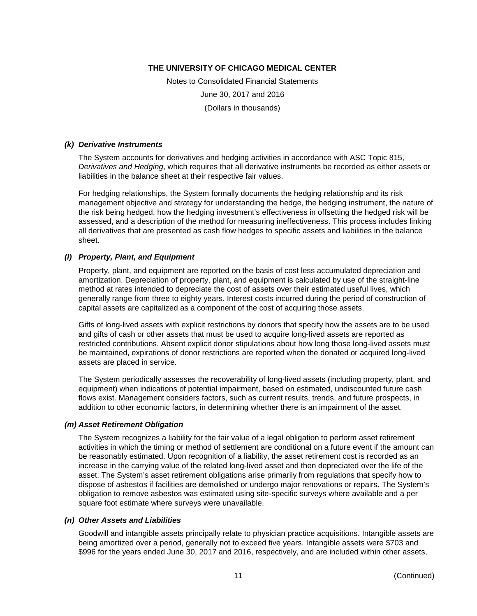Notes to Consolidated Financial Statements June 30, 2017 and 2016 (Dollars in thousands)

#### *(k) Derivative Instruments*

The System accounts for derivatives and hedging activities in accordance with ASC Topic 815, *Derivatives and Hedging*, which requires that all derivative instruments be recorded as either assets or liabilities in the balance sheet at their respective fair values.

For hedging relationships, the System formally documents the hedging relationship and its risk management objective and strategy for understanding the hedge, the hedging instrument, the nature of the risk being hedged, how the hedging investment's effectiveness in offsetting the hedged risk will be assessed, and a description of the method for measuring ineffectiveness. This process includes linking all derivatives that are presented as cash flow hedges to specific assets and liabilities in the balance sheet.

#### *(l) Property, Plant, and Equipment*

Property, plant, and equipment are reported on the basis of cost less accumulated depreciation and amortization. Depreciation of property, plant, and equipment is calculated by use of the straight-line method at rates intended to depreciate the cost of assets over their estimated useful lives, which generally range from three to eighty years. Interest costs incurred during the period of construction of capital assets are capitalized as a component of the cost of acquiring those assets.

Gifts of long-lived assets with explicit restrictions by donors that specify how the assets are to be used and gifts of cash or other assets that must be used to acquire long-lived assets are reported as restricted contributions. Absent explicit donor stipulations about how long those long-lived assets must be maintained, expirations of donor restrictions are reported when the donated or acquired long-lived assets are placed in service.

The System periodically assesses the recoverability of long-lived assets (including property, plant, and equipment) when indications of potential impairment, based on estimated, undiscounted future cash flows exist. Management considers factors, such as current results, trends, and future prospects, in addition to other economic factors, in determining whether there is an impairment of the asset.

#### *(m) Asset Retirement Obligation*

The System recognizes a liability for the fair value of a legal obligation to perform asset retirement activities in which the timing or method of settlement are conditional on a future event if the amount can be reasonably estimated. Upon recognition of a liability, the asset retirement cost is recorded as an increase in the carrying value of the related long-lived asset and then depreciated over the life of the asset. The System's asset retirement obligations arise primarily from regulations that specify how to dispose of asbestos if facilities are demolished or undergo major renovations or repairs. The System's obligation to remove asbestos was estimated using site-specific surveys where available and a per square foot estimate where surveys were unavailable.

#### *(n) Other Assets and Liabilities*

Goodwill and intangible assets principally relate to physician practice acquisitions. Intangible assets are being amortized over a period, generally not to exceed five years. Intangible assets were \$703 and \$996 for the years ended June 30, 2017 and 2016, respectively, and are included within other assets,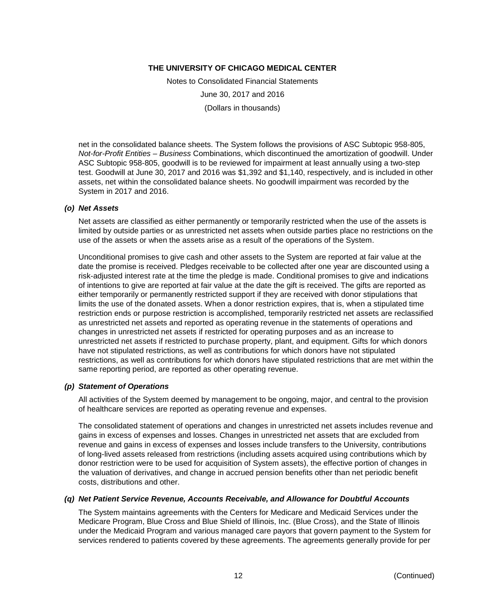Notes to Consolidated Financial Statements June 30, 2017 and 2016 (Dollars in thousands)

net in the consolidated balance sheets. The System follows the provisions of ASC Subtopic 958-805, *Not-for-Profit Entities – Business* Combinations, which discontinued the amortization of goodwill. Under ASC Subtopic 958-805, goodwill is to be reviewed for impairment at least annually using a two-step test. Goodwill at June 30, 2017 and 2016 was \$1,392 and \$1,140, respectively, and is included in other assets, net within the consolidated balance sheets. No goodwill impairment was recorded by the System in 2017 and 2016.

#### *(o) Net Assets*

Net assets are classified as either permanently or temporarily restricted when the use of the assets is limited by outside parties or as unrestricted net assets when outside parties place no restrictions on the use of the assets or when the assets arise as a result of the operations of the System.

Unconditional promises to give cash and other assets to the System are reported at fair value at the date the promise is received. Pledges receivable to be collected after one year are discounted using a risk-adjusted interest rate at the time the pledge is made. Conditional promises to give and indications of intentions to give are reported at fair value at the date the gift is received. The gifts are reported as either temporarily or permanently restricted support if they are received with donor stipulations that limits the use of the donated assets. When a donor restriction expires, that is, when a stipulated time restriction ends or purpose restriction is accomplished, temporarily restricted net assets are reclassified as unrestricted net assets and reported as operating revenue in the statements of operations and changes in unrestricted net assets if restricted for operating purposes and as an increase to unrestricted net assets if restricted to purchase property, plant, and equipment. Gifts for which donors have not stipulated restrictions, as well as contributions for which donors have not stipulated restrictions, as well as contributions for which donors have stipulated restrictions that are met within the same reporting period, are reported as other operating revenue.

#### *(p) Statement of Operations*

All activities of the System deemed by management to be ongoing, major, and central to the provision of healthcare services are reported as operating revenue and expenses.

The consolidated statement of operations and changes in unrestricted net assets includes revenue and gains in excess of expenses and losses. Changes in unrestricted net assets that are excluded from revenue and gains in excess of expenses and losses include transfers to the University, contributions of long-lived assets released from restrictions (including assets acquired using contributions which by donor restriction were to be used for acquisition of System assets), the effective portion of changes in the valuation of derivatives, and change in accrued pension benefits other than net periodic benefit costs, distributions and other.

#### *(q) Net Patient Service Revenue, Accounts Receivable, and Allowance for Doubtful Accounts*

The System maintains agreements with the Centers for Medicare and Medicaid Services under the Medicare Program, Blue Cross and Blue Shield of Illinois, Inc. (Blue Cross), and the State of Illinois under the Medicaid Program and various managed care payors that govern payment to the System for services rendered to patients covered by these agreements. The agreements generally provide for per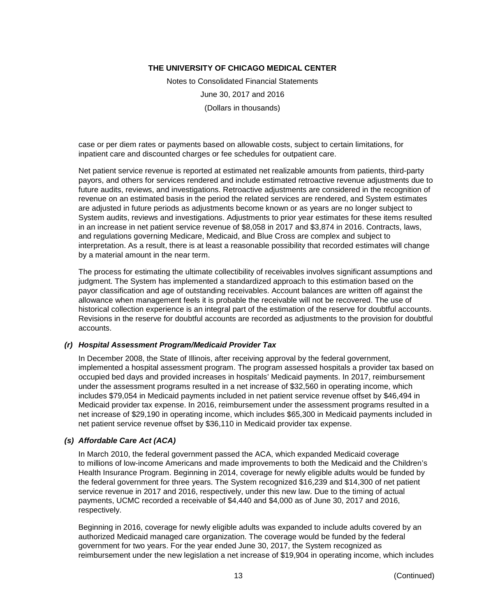Notes to Consolidated Financial Statements June 30, 2017 and 2016 (Dollars in thousands)

case or per diem rates or payments based on allowable costs, subject to certain limitations, for inpatient care and discounted charges or fee schedules for outpatient care.

Net patient service revenue is reported at estimated net realizable amounts from patients, third-party payors, and others for services rendered and include estimated retroactive revenue adjustments due to future audits, reviews, and investigations. Retroactive adjustments are considered in the recognition of revenue on an estimated basis in the period the related services are rendered, and System estimates are adjusted in future periods as adjustments become known or as years are no longer subject to System audits, reviews and investigations. Adjustments to prior year estimates for these items resulted in an increase in net patient service revenue of \$8,058 in 2017 and \$3,874 in 2016. Contracts, laws, and regulations governing Medicare, Medicaid, and Blue Cross are complex and subject to interpretation. As a result, there is at least a reasonable possibility that recorded estimates will change by a material amount in the near term.

The process for estimating the ultimate collectibility of receivables involves significant assumptions and judgment. The System has implemented a standardized approach to this estimation based on the payor classification and age of outstanding receivables. Account balances are written off against the allowance when management feels it is probable the receivable will not be recovered. The use of historical collection experience is an integral part of the estimation of the reserve for doubtful accounts. Revisions in the reserve for doubtful accounts are recorded as adjustments to the provision for doubtful accounts.

# *(r) Hospital Assessment Program/Medicaid Provider Tax*

In December 2008, the State of Illinois, after receiving approval by the federal government, implemented a hospital assessment program. The program assessed hospitals a provider tax based on occupied bed days and provided increases in hospitals' Medicaid payments. In 2017, reimbursement under the assessment programs resulted in a net increase of \$32,560 in operating income, which includes \$79,054 in Medicaid payments included in net patient service revenue offset by \$46,494 in Medicaid provider tax expense. In 2016, reimbursement under the assessment programs resulted in a net increase of \$29,190 in operating income, which includes \$65,300 in Medicaid payments included in net patient service revenue offset by \$36,110 in Medicaid provider tax expense.

# *(s) Affordable Care Act (ACA)*

In March 2010, the federal government passed the ACA, which expanded Medicaid coverage to millions of low-income Americans and made improvements to both the Medicaid and the Children's Health Insurance Program. Beginning in 2014, coverage for newly eligible adults would be funded by the federal government for three years. The System recognized \$16,239 and \$14,300 of net patient service revenue in 2017 and 2016, respectively, under this new law. Due to the timing of actual payments, UCMC recorded a receivable of \$4,440 and \$4,000 as of June 30, 2017 and 2016, respectively.

Beginning in 2016, coverage for newly eligible adults was expanded to include adults covered by an authorized Medicaid managed care organization. The coverage would be funded by the federal government for two years. For the year ended June 30, 2017, the System recognized as reimbursement under the new legislation a net increase of \$19,904 in operating income, which includes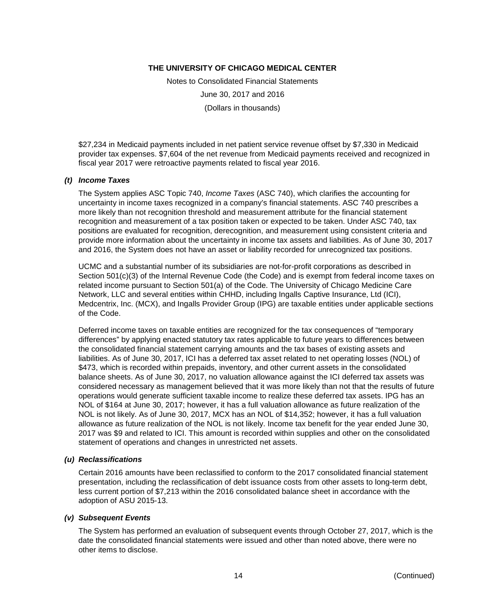Notes to Consolidated Financial Statements June 30, 2017 and 2016 (Dollars in thousands)

\$27,234 in Medicaid payments included in net patient service revenue offset by \$7,330 in Medicaid provider tax expenses. \$7,604 of the net revenue from Medicaid payments received and recognized in fiscal year 2017 were retroactive payments related to fiscal year 2016.

#### *(t) Income Taxes*

The System applies ASC Topic 740, *Income Taxes* (ASC 740), which clarifies the accounting for uncertainty in income taxes recognized in a company's financial statements. ASC 740 prescribes a more likely than not recognition threshold and measurement attribute for the financial statement recognition and measurement of a tax position taken or expected to be taken. Under ASC 740, tax positions are evaluated for recognition, derecognition, and measurement using consistent criteria and provide more information about the uncertainty in income tax assets and liabilities. As of June 30, 2017 and 2016, the System does not have an asset or liability recorded for unrecognized tax positions.

UCMC and a substantial number of its subsidiaries are not-for-profit corporations as described in Section 501(c)(3) of the Internal Revenue Code (the Code) and is exempt from federal income taxes on related income pursuant to Section 501(a) of the Code. The University of Chicago Medicine Care Network, LLC and several entities within CHHD, including Ingalls Captive Insurance, Ltd (ICI), Medcentrix, Inc. (MCX), and Ingalls Provider Group (IPG) are taxable entities under applicable sections of the Code.

Deferred income taxes on taxable entities are recognized for the tax consequences of "temporary differences" by applying enacted statutory tax rates applicable to future years to differences between the consolidated financial statement carrying amounts and the tax bases of existing assets and liabilities. As of June 30, 2017, ICI has a deferred tax asset related to net operating losses (NOL) of \$473, which is recorded within prepaids, inventory, and other current assets in the consolidated balance sheets. As of June 30, 2017, no valuation allowance against the ICI deferred tax assets was considered necessary as management believed that it was more likely than not that the results of future operations would generate sufficient taxable income to realize these deferred tax assets. IPG has an NOL of \$164 at June 30, 2017; however, it has a full valuation allowance as future realization of the NOL is not likely. As of June 30, 2017, MCX has an NOL of \$14,352; however, it has a full valuation allowance as future realization of the NOL is not likely. Income tax benefit for the year ended June 30, 2017 was \$9 and related to ICI. This amount is recorded within supplies and other on the consolidated statement of operations and changes in unrestricted net assets.

#### *(u) Reclassifications*

Certain 2016 amounts have been reclassified to conform to the 2017 consolidated financial statement presentation, including the reclassification of debt issuance costs from other assets to long-term debt, less current portion of \$7,213 within the 2016 consolidated balance sheet in accordance with the adoption of ASU 2015-13.

#### *(v) Subsequent Events*

The System has performed an evaluation of subsequent events through October 27, 2017, which is the date the consolidated financial statements were issued and other than noted above, there were no other items to disclose.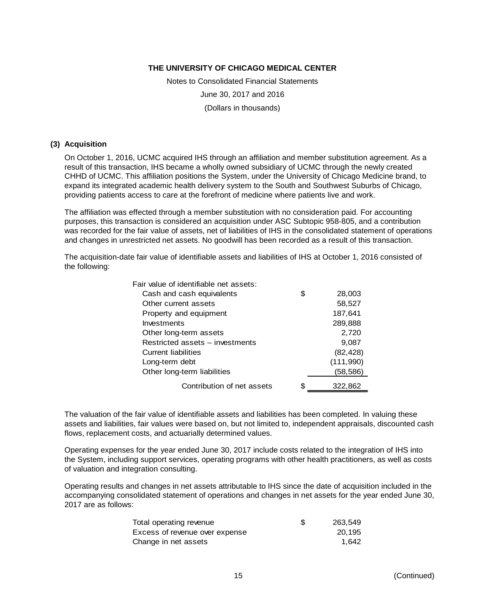Notes to Consolidated Financial Statements June 30, 2017 and 2016 (Dollars in thousands)

#### **(3) Acquisition**

On October 1, 2016, UCMC acquired IHS through an affiliation and member substitution agreement. As a result of this transaction, IHS became a wholly owned subsidiary of UCMC through the newly created CHHD of UCMC. This affiliation positions the System, under the University of Chicago Medicine brand, to expand its integrated academic health delivery system to the South and Southwest Suburbs of Chicago, providing patients access to care at the forefront of medicine where patients live and work.

The affiliation was effected through a member substitution with no consideration paid. For accounting purposes, this transaction is considered an acquisition under ASC Subtopic 958-805, and a contribution was recorded for the fair value of assets, net of liabilities of IHS in the consolidated statement of operations and changes in unrestricted net assets. No goodwill has been recorded as a result of this transaction.

The acquisition-date fair value of identifiable assets and liabilities of IHS at October 1, 2016 consisted of the following:

| Fair value of identifiable net assets: |    |           |
|----------------------------------------|----|-----------|
| Cash and cash equivalents              | \$ | 28,003    |
| Other current assets                   |    | 58,527    |
| Property and equipment                 |    | 187,641   |
| Investments                            |    | 289,888   |
| Other long-term assets                 |    | 2,720     |
| Restricted assets - investments        |    | 9,087     |
| Current liabilities                    |    | (82, 428) |
| Long-term debt                         |    | (111,990) |
| Other long-term liabilities            |    | (58,586)  |
| Contribution of net assets             | S  | 322,862   |

The valuation of the fair value of identifiable assets and liabilities has been completed. In valuing these assets and liabilities, fair values were based on, but not limited to, independent appraisals, discounted cash flows, replacement costs, and actuarially determined values.

Operating expenses for the year ended June 30, 2017 include costs related to the integration of IHS into the System, including support services, operating programs with other health practitioners, as well as costs of valuation and integration consulting.

Operating results and changes in net assets attributable to IHS since the date of acquisition included in the accompanying consolidated statement of operations and changes in net assets for the year ended June 30, 2017 are as follows:

| Total operating revenue        | -S | 263.549 |
|--------------------------------|----|---------|
| Excess of revenue over expense |    | 20.195  |
| Change in net assets           |    | 1.642   |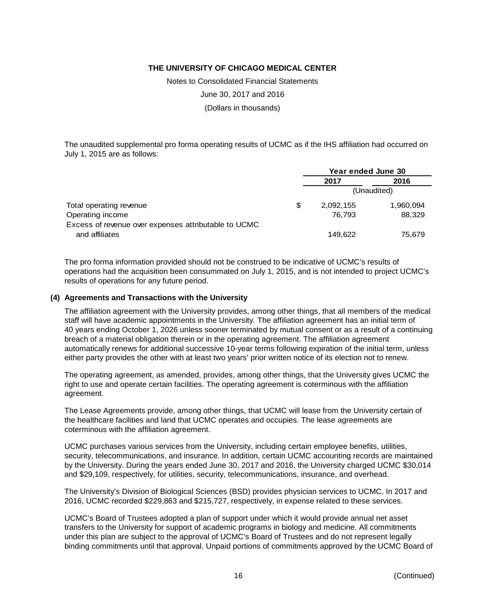Notes to Consolidated Financial Statements

June 30, 2017 and 2016

(Dollars in thousands)

The unaudited supplemental pro forma operating results of UCMC as if the IHS affiliation had occurred on July 1, 2015 are as follows:

|                                                      | Year ended June 30 |             |
|------------------------------------------------------|--------------------|-------------|
|                                                      | 2017               | 2016        |
|                                                      |                    | (Unaudited) |
| Total operating revenue                              | \$<br>2,092,155    | 1,960,094   |
| Operating income                                     | 76.793             | 88,329      |
| Excess of revenue over expenses attributable to UCMC |                    |             |
| and affiliates                                       | 149.622            | 75.679      |

The pro forma information provided should not be construed to be indicative of UCMC's results of operations had the acquisition been consummated on July 1, 2015, and is not intended to project UCMC's results of operations for any future period.

#### **(4) Agreements and Transactions with the University**

The affiliation agreement with the University provides, among other things, that all members of the medical staff will have academic appointments in the University. The affiliation agreement has an initial term of 40 years ending October 1, 2026 unless sooner terminated by mutual consent or as a result of a continuing breach of a material obligation therein or in the operating agreement. The affiliation agreement automatically renews for additional successive 10-year terms following expiration of the initial term, unless either party provides the other with at least two years' prior written notice of its election not to renew.

The operating agreement, as amended, provides, among other things, that the University gives UCMC the right to use and operate certain facilities. The operating agreement is coterminous with the affiliation agreement.

The Lease Agreements provide, among other things, that UCMC will lease from the University certain of the healthcare facilities and land that UCMC operates and occupies. The lease agreements are coterminous with the affiliation agreement.

UCMC purchases various services from the University, including certain employee benefits, utilities, security, telecommunications, and insurance. In addition, certain UCMC accounting records are maintained by the University. During the years ended June 30, 2017 and 2016, the University charged UCMC \$30,014 and \$29,109, respectively, for utilities, security, telecommunications, insurance, and overhead.

The University's Division of Biological Sciences (BSD) provides physician services to UCMC. In 2017 and 2016, UCMC recorded \$229,863 and \$215,727, respectively, in expense related to these services.

UCMC's Board of Trustees adopted a plan of support under which it would provide annual net asset transfers to the University for support of academic programs in biology and medicine. All commitments under this plan are subject to the approval of UCMC's Board of Trustees and do not represent legally binding commitments until that approval. Unpaid portions of commitments approved by the UCMC Board of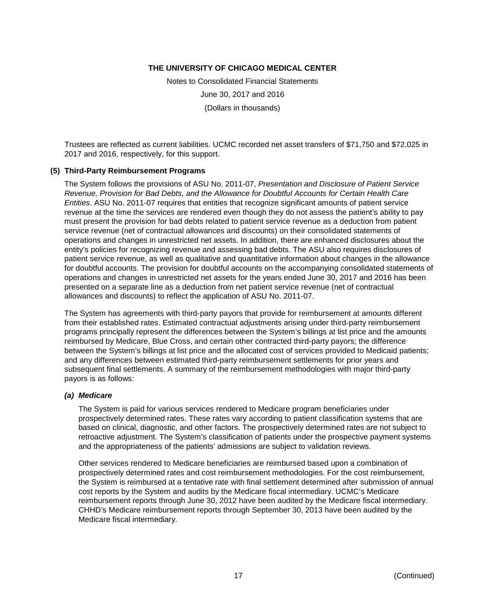Notes to Consolidated Financial Statements June 30, 2017 and 2016 (Dollars in thousands)

Trustees are reflected as current liabilities. UCMC recorded net asset transfers of \$71,750 and \$72,025 in 2017 and 2016, respectively, for this support.

#### **(5) Third-Party Reimbursement Programs**

The System follows the provisions of ASU No. 2011-07, *Presentation and Disclosure of Patient Service Revenue, Provision for Bad Debts, and the Allowance for Doubtful Accounts for Certain Health Care Entities*. ASU No. 2011-07 requires that entities that recognize significant amounts of patient service revenue at the time the services are rendered even though they do not assess the patient's ability to pay must present the provision for bad debts related to patient service revenue as a deduction from patient service revenue (net of contractual allowances and discounts) on their consolidated statements of operations and changes in unrestricted net assets. In addition, there are enhanced disclosures about the entity's policies for recognizing revenue and assessing bad debts. The ASU also requires disclosures of patient service revenue, as well as qualitative and quantitative information about changes in the allowance for doubtful accounts. The provision for doubtful accounts on the accompanying consolidated statements of operations and changes in unrestricted net assets for the years ended June 30, 2017 and 2016 has been presented on a separate line as a deduction from net patient service revenue (net of contractual allowances and discounts) to reflect the application of ASU No. 2011-07.

The System has agreements with third-party payors that provide for reimbursement at amounts different from their established rates. Estimated contractual adjustments arising under third-party reimbursement programs principally represent the differences between the System's billings at list price and the amounts reimbursed by Medicare, Blue Cross, and certain other contracted third-party payors; the difference between the System's billings at list price and the allocated cost of services provided to Medicaid patients; and any differences between estimated third-party reimbursement settlements for prior years and subsequent final settlements. A summary of the reimbursement methodologies with major third-party payors is as follows:

#### *(a) Medicare*

The System is paid for various services rendered to Medicare program beneficiaries under prospectively determined rates. These rates vary according to patient classification systems that are based on clinical, diagnostic, and other factors. The prospectively determined rates are not subject to retroactive adjustment. The System's classification of patients under the prospective payment systems and the appropriateness of the patients' admissions are subject to validation reviews.

Other services rendered to Medicare beneficiaries are reimbursed based upon a combination of prospectively determined rates and cost reimbursement methodologies. For the cost reimbursement, the System is reimbursed at a tentative rate with final settlement determined after submission of annual cost reports by the System and audits by the Medicare fiscal intermediary. UCMC's Medicare reimbursement reports through June 30, 2012 have been audited by the Medicare fiscal intermediary. CHHD's Medicare reimbursement reports through September 30, 2013 have been audited by the Medicare fiscal intermediary.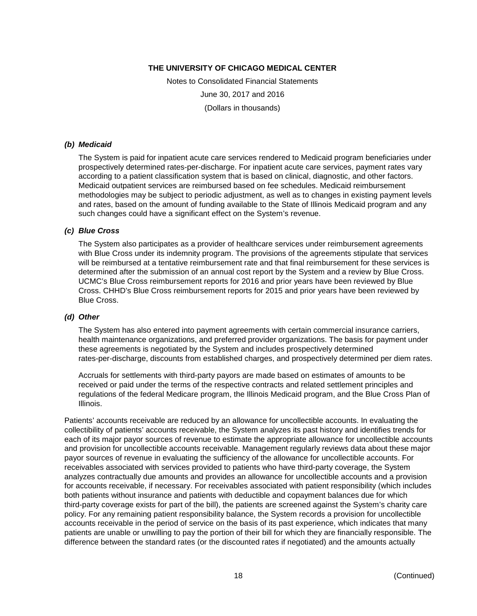Notes to Consolidated Financial Statements June 30, 2017 and 2016 (Dollars in thousands)

#### *(b) Medicaid*

The System is paid for inpatient acute care services rendered to Medicaid program beneficiaries under prospectively determined rates-per-discharge. For inpatient acute care services, payment rates vary according to a patient classification system that is based on clinical, diagnostic, and other factors. Medicaid outpatient services are reimbursed based on fee schedules. Medicaid reimbursement methodologies may be subject to periodic adjustment, as well as to changes in existing payment levels and rates, based on the amount of funding available to the State of Illinois Medicaid program and any such changes could have a significant effect on the System's revenue.

#### *(c) Blue Cross*

The System also participates as a provider of healthcare services under reimbursement agreements with Blue Cross under its indemnity program. The provisions of the agreements stipulate that services will be reimbursed at a tentative reimbursement rate and that final reimbursement for these services is determined after the submission of an annual cost report by the System and a review by Blue Cross. UCMC's Blue Cross reimbursement reports for 2016 and prior years have been reviewed by Blue Cross. CHHD's Blue Cross reimbursement reports for 2015 and prior years have been reviewed by Blue Cross.

#### *(d) Other*

The System has also entered into payment agreements with certain commercial insurance carriers, health maintenance organizations, and preferred provider organizations. The basis for payment under these agreements is negotiated by the System and includes prospectively determined rates-per-discharge, discounts from established charges, and prospectively determined per diem rates.

Accruals for settlements with third-party payors are made based on estimates of amounts to be received or paid under the terms of the respective contracts and related settlement principles and regulations of the federal Medicare program, the Illinois Medicaid program, and the Blue Cross Plan of Illinois.

Patients' accounts receivable are reduced by an allowance for uncollectible accounts. In evaluating the collectibility of patients' accounts receivable, the System analyzes its past history and identifies trends for each of its major payor sources of revenue to estimate the appropriate allowance for uncollectible accounts and provision for uncollectible accounts receivable. Management regularly reviews data about these major payor sources of revenue in evaluating the sufficiency of the allowance for uncollectible accounts. For receivables associated with services provided to patients who have third-party coverage, the System analyzes contractually due amounts and provides an allowance for uncollectible accounts and a provision for accounts receivable, if necessary. For receivables associated with patient responsibility (which includes both patients without insurance and patients with deductible and copayment balances due for which third-party coverage exists for part of the bill), the patients are screened against the System's charity care policy. For any remaining patient responsibility balance, the System records a provision for uncollectible accounts receivable in the period of service on the basis of its past experience, which indicates that many patients are unable or unwilling to pay the portion of their bill for which they are financially responsible. The difference between the standard rates (or the discounted rates if negotiated) and the amounts actually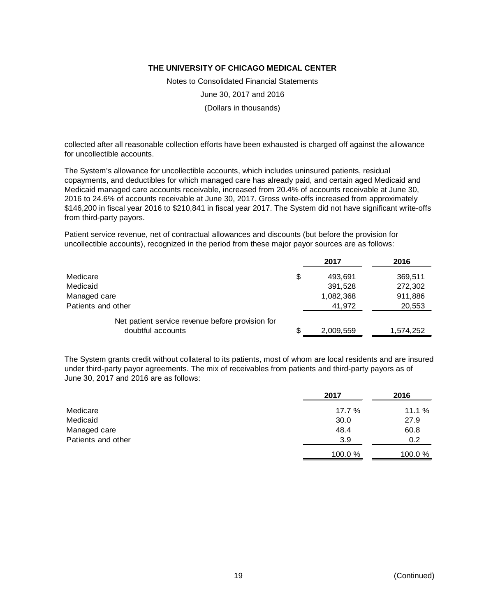Notes to Consolidated Financial Statements June 30, 2017 and 2016 (Dollars in thousands)

collected after all reasonable collection efforts have been exhausted is charged off against the allowance for uncollectible accounts.

The System's allowance for uncollectible accounts, which includes uninsured patients, residual copayments, and deductibles for which managed care has already paid, and certain aged Medicaid and Medicaid managed care accounts receivable, increased from 20.4% of accounts receivable at June 30, 2016 to 24.6% of accounts receivable at June 30, 2017. Gross write-offs increased from approximately \$146,200 in fiscal year 2016 to \$210,841 in fiscal year 2017. The System did not have significant write-offs from third-party payors.

Patient service revenue, net of contractual allowances and discounts (but before the provision for uncollectible accounts), recognized in the period from these major payor sources are as follows:

|                                                  | 2017          | 2016      |
|--------------------------------------------------|---------------|-----------|
| Medicare                                         | \$<br>493,691 | 369,511   |
| Medicaid                                         | 391,528       | 272,302   |
| Managed care                                     | 1,082,368     | 911,886   |
| Patients and other                               | 41,972        | 20,553    |
| Net patient service revenue before provision for |               |           |
| doubtful accounts                                | 2,009,559     | 1,574,252 |

The System grants credit without collateral to its patients, most of whom are local residents and are insured under third-party payor agreements. The mix of receivables from patients and third-party payors as of June 30, 2017 and 2016 are as follows:

|                    | 2017   | 2016   |
|--------------------|--------|--------|
| Medicare           | 17.7 % | 11.1%  |
| Medicaid           | 30.0   | 27.9   |
| Managed care       | 48.4   | 60.8   |
| Patients and other | 3.9    | 0.2    |
|                    | 100.0% | 100.0% |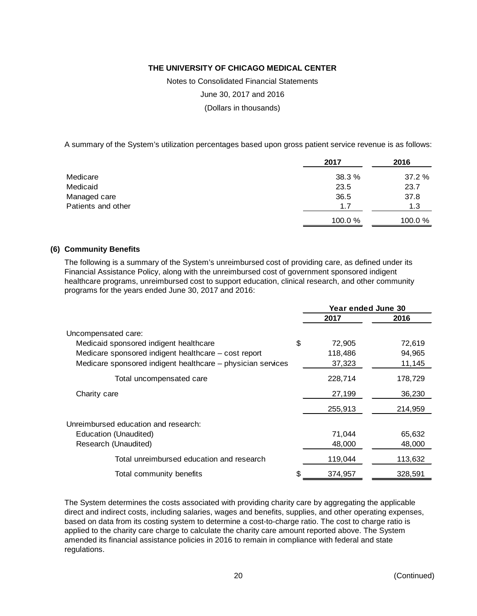Notes to Consolidated Financial Statements

June 30, 2017 and 2016

(Dollars in thousands)

A summary of the System's utilization percentages based upon gross patient service revenue is as follows:

|                    | 2017   | 2016   |
|--------------------|--------|--------|
| Medicare           | 38.3%  | 37.2%  |
| Medicaid           | 23.5   | 23.7   |
| Managed care       | 36.5   | 37.8   |
| Patients and other | 1.7    | 1.3    |
|                    | 100.0% | 100.0% |

#### **(6) Community Benefits**

The following is a summary of the System's unreimbursed cost of providing care, as defined under its Financial Assistance Policy, along with the unreimbursed cost of government sponsored indigent healthcare programs, unreimbursed cost to support education, clinical research, and other community programs for the years ended June 30, 2017 and 2016:

|                                                             | Year ended June 30 |         |
|-------------------------------------------------------------|--------------------|---------|
|                                                             | 2017               | 2016    |
| Uncompensated care:                                         |                    |         |
| Medicaid sponsored indigent healthcare                      | \$<br>72,905       | 72,619  |
| Medicare sponsored indigent healthcare – cost report        | 118,486            | 94,965  |
| Medicare sponsored indigent healthcare - physician services | 37,323             | 11,145  |
| Total uncompensated care                                    | 228,714            | 178,729 |
| Charity care                                                | 27,199             | 36,230  |
|                                                             | 255,913            | 214,959 |
| Unreimbursed education and research:                        |                    |         |
| Education (Unaudited)                                       | 71,044             | 65,632  |
| Research (Unaudited)                                        | 48,000             | 48,000  |
| Total unreimbursed education and research                   | 119,044            | 113,632 |
| Total community benefits                                    | 374,957            | 328,591 |

The System determines the costs associated with providing charity care by aggregating the applicable direct and indirect costs, including salaries, wages and benefits, supplies, and other operating expenses, based on data from its costing system to determine a cost-to-charge ratio. The cost to charge ratio is applied to the charity care charge to calculate the charity care amount reported above. The System amended its financial assistance policies in 2016 to remain in compliance with federal and state regulations.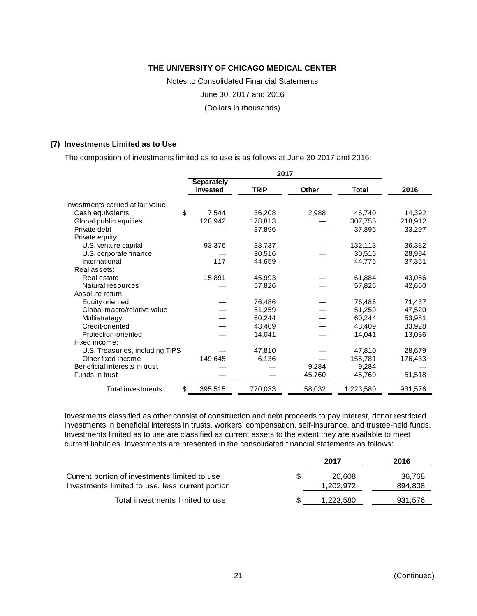Notes to Consolidated Financial Statements

June 30, 2017 and 2016

(Dollars in thousands)

#### **(7) Investments Limited as to Use**

The composition of investments limited as to use is as follows at June 30 2017 and 2016:

|                                    | <b>Separately</b> |             |              |           |         |
|------------------------------------|-------------------|-------------|--------------|-----------|---------|
|                                    | invested          | <b>TRIP</b> | <b>Other</b> | Total     | 2016    |
| Investments carried at fair value: |                   |             |              |           |         |
| \$<br>Cash equivalents             | 7,544             | 36,208      | 2,988        | 46,740    | 14,392  |
| Global public equities             | 128,942           | 178,813     |              | 307,755   | 218,912 |
| Private debt                       |                   | 37,896      |              | 37,896    | 33,297  |
| Private equity:                    |                   |             |              |           |         |
| U.S. venture capital               | 93,376            | 38,737      |              | 132,113   | 36,382  |
| U.S. corporate finance             |                   | 30,516      |              | 30,516    | 28,994  |
| International                      | 117               | 44,659      |              | 44,776    | 37,351  |
| Real assets:                       |                   |             |              |           |         |
| Real estate                        | 15,891            | 45,993      |              | 61,884    | 43,056  |
| Natural resources                  |                   | 57,826      |              | 57,826    | 42,660  |
| Absolute return:                   |                   |             |              |           |         |
| Equity oriented                    |                   | 76,486      |              | 76,486    | 71,437  |
| Global macro/relative value        |                   | 51,259      |              | 51,259    | 47,520  |
| Multistrategy                      |                   | 60,244      |              | 60,244    | 53,981  |
| Credit-oriented                    |                   | 43,409      |              | 43,409    | 33,928  |
| Protection-oriented                |                   | 14,041      |              | 14,041    | 13,036  |
| Fixed income:                      |                   |             |              |           |         |
| U.S. Treasuries, including TIPS    |                   | 47,810      |              | 47,810    | 28,679  |
| Other fixed income                 | 149,645           | 6,136       |              | 155,781   | 176,433 |
| Beneficial interests in trust      |                   |             | 9,284        | 9,284     |         |
| Funds in trust                     |                   |             | 45,760       | 45,760    | 51,518  |
| \$<br>Total investments            | 395,515           | 770,033     | 58,032       | 1,223,580 | 931,576 |

Investments classified as other consist of construction and debt proceeds to pay interest, donor restricted investments in beneficial interests in trusts, workers' compensation, self-insurance, and trustee-held funds. Investments limited as to use are classified as current assets to the extent they are available to meet current liabilities. Investments are presented in the consolidated financial statements as follows:

|                                                  | 2017      | 2016    |
|--------------------------------------------------|-----------|---------|
| Current portion of investments limited to use    | 20.608    | 36,768  |
| Investments limited to use, less current portion | 1,202,972 | 894,808 |
| Total investments limited to use                 | 1,223,580 | 931,576 |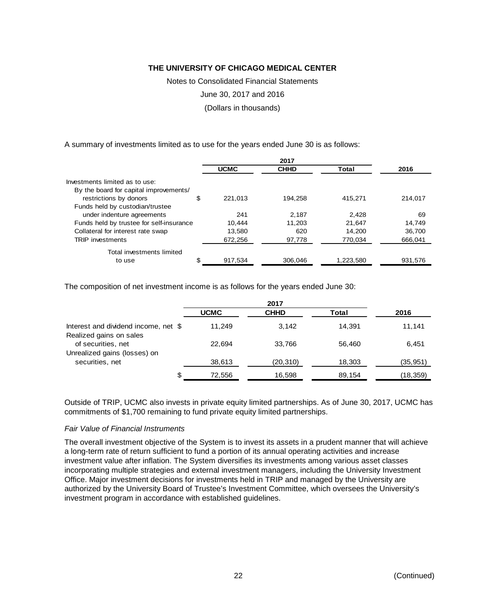Notes to Consolidated Financial Statements

June 30, 2017 and 2016

(Dollars in thousands)

A summary of investments limited as to use for the years ended June 30 is as follows:

|                                          | <b>UCMC</b>   | <b>CHHD</b> | Total     | 2016    |
|------------------------------------------|---------------|-------------|-----------|---------|
| Investments limited as to use:           |               |             |           |         |
| By the board for capital improvements/   |               |             |           |         |
| restrictions by donors                   | \$<br>221.013 | 194.258     | 415.271   | 214.017 |
| Funds held by custodian/trustee          |               |             |           |         |
| under indenture agreements               | 241           | 2.187       | 2.428     | 69      |
| Funds held by trustee for self-insurance | 10.444        | 11.203      | 21.647    | 14.749  |
| Collateral for interest rate swap        | 13,580        | 620         | 14.200    | 36.700  |
| <b>TRIP</b> investments                  | 672.256       | 97,778      | 770.034   | 666.041 |
| Total investments limited                |               |             |           |         |
| to use                                   | \$<br>917,534 | 306,046     | 1,223,580 | 931,576 |

The composition of net investment income is as follows for the years ended June 30:

|                                                                 | <b>UCMC</b> | <b>CHHD</b> | Total  | 2016      |
|-----------------------------------------------------------------|-------------|-------------|--------|-----------|
| Interest and dividend income, net \$<br>Realized gains on sales | 11.249      | 3.142       | 14.391 | 11.141    |
| of securities, net<br>Unrealized gains (losses) on              | 22.694      | 33.766      | 56.460 | 6,451     |
| securities, net                                                 | 38,613      | (20, 310)   | 18,303 | (35,951)  |
|                                                                 | 72,556      | 16.598      | 89,154 | (18, 359) |

Outside of TRIP, UCMC also invests in private equity limited partnerships. As of June 30, 2017, UCMC has commitments of \$1,700 remaining to fund private equity limited partnerships.

#### *Fair Value of Financial Instruments*

The overall investment objective of the System is to invest its assets in a prudent manner that will achieve a long-term rate of return sufficient to fund a portion of its annual operating activities and increase investment value after inflation. The System diversifies its investments among various asset classes incorporating multiple strategies and external investment managers, including the University Investment Office. Major investment decisions for investments held in TRIP and managed by the University are authorized by the University Board of Trustee's Investment Committee, which oversees the University's investment program in accordance with established guidelines.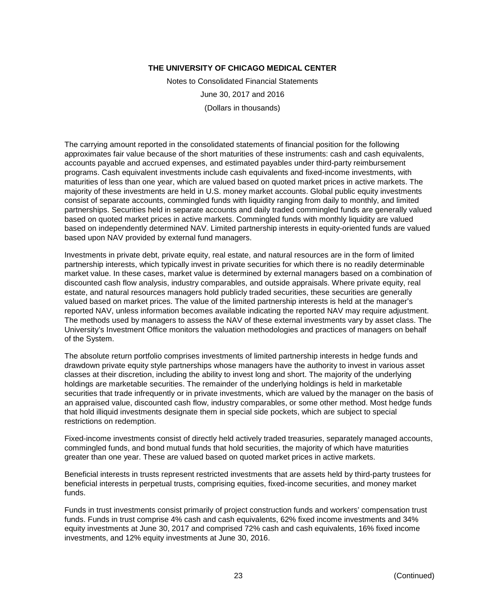Notes to Consolidated Financial Statements June 30, 2017 and 2016 (Dollars in thousands)

The carrying amount reported in the consolidated statements of financial position for the following approximates fair value because of the short maturities of these instruments: cash and cash equivalents, accounts payable and accrued expenses, and estimated payables under third-party reimbursement programs. Cash equivalent investments include cash equivalents and fixed-income investments, with maturities of less than one year, which are valued based on quoted market prices in active markets. The majority of these investments are held in U.S. money market accounts. Global public equity investments consist of separate accounts, commingled funds with liquidity ranging from daily to monthly, and limited partnerships. Securities held in separate accounts and daily traded commingled funds are generally valued based on quoted market prices in active markets. Commingled funds with monthly liquidity are valued based on independently determined NAV. Limited partnership interests in equity-oriented funds are valued based upon NAV provided by external fund managers.

Investments in private debt, private equity, real estate, and natural resources are in the form of limited partnership interests, which typically invest in private securities for which there is no readily determinable market value. In these cases, market value is determined by external managers based on a combination of discounted cash flow analysis, industry comparables, and outside appraisals. Where private equity, real estate, and natural resources managers hold publicly traded securities, these securities are generally valued based on market prices. The value of the limited partnership interests is held at the manager's reported NAV, unless information becomes available indicating the reported NAV may require adjustment. The methods used by managers to assess the NAV of these external investments vary by asset class. The University's Investment Office monitors the valuation methodologies and practices of managers on behalf of the System.

The absolute return portfolio comprises investments of limited partnership interests in hedge funds and drawdown private equity style partnerships whose managers have the authority to invest in various asset classes at their discretion, including the ability to invest long and short. The majority of the underlying holdings are marketable securities. The remainder of the underlying holdings is held in marketable securities that trade infrequently or in private investments, which are valued by the manager on the basis of an appraised value, discounted cash flow, industry comparables, or some other method. Most hedge funds that hold illiquid investments designate them in special side pockets, which are subject to special restrictions on redemption.

Fixed-income investments consist of directly held actively traded treasuries, separately managed accounts, commingled funds, and bond mutual funds that hold securities, the majority of which have maturities greater than one year. These are valued based on quoted market prices in active markets.

Beneficial interests in trusts represent restricted investments that are assets held by third-party trustees for beneficial interests in perpetual trusts, comprising equities, fixed-income securities, and money market funds.

Funds in trust investments consist primarily of project construction funds and workers' compensation trust funds. Funds in trust comprise 4% cash and cash equivalents, 62% fixed income investments and 34% equity investments at June 30, 2017 and comprised 72% cash and cash equivalents, 16% fixed income investments, and 12% equity investments at June 30, 2016.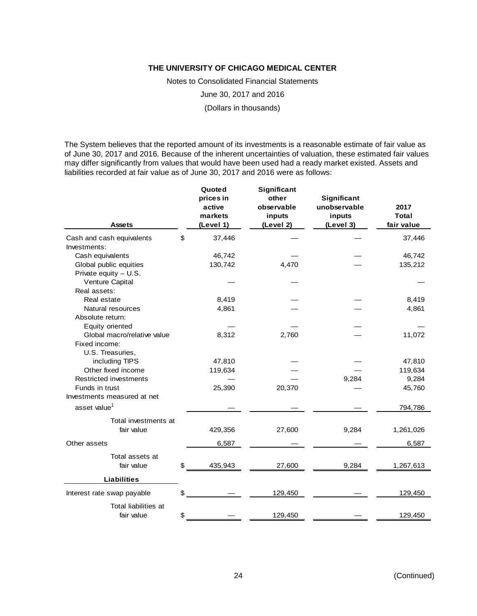Notes to Consolidated Financial Statements

June 30, 2017 and 2016

(Dollars in thousands)

The System believes that the reported amount of its investments is a reasonable estimate of fair value as of June 30, 2017 and 2016. Because of the inherent uncertainties of valuation, these estimated fair values may differ significantly from values that would have been used had a ready market existed. Assets and liabilities recorded at fair value as of June 30, 2017 and 2016 were as follows:

| <b>Assets</b>                 | Quoted<br>prices in<br>active<br>markets<br>(Level 1) | Significant<br>other<br>observable<br>inputs<br>(Level 2) | Significant<br>unobservable<br>inputs<br>(Level 3) | 2017<br><b>Total</b><br>fair value |
|-------------------------------|-------------------------------------------------------|-----------------------------------------------------------|----------------------------------------------------|------------------------------------|
| Cash and cash equivalents     | \$<br>37,446                                          |                                                           |                                                    | 37,446                             |
| Investments:                  |                                                       |                                                           |                                                    |                                    |
| Cash equivalents              | 46,742                                                |                                                           |                                                    | 46,742                             |
| Global public equities        | 130,742                                               | 4,470                                                     |                                                    | 135,212                            |
| Private equity $- U.S.$       |                                                       |                                                           |                                                    |                                    |
| Venture Capital               |                                                       |                                                           |                                                    |                                    |
| Real assets:                  |                                                       |                                                           |                                                    |                                    |
| Real estate                   | 8,419                                                 |                                                           |                                                    | 8,419                              |
| Natural resources             | 4,861                                                 |                                                           |                                                    | 4,861                              |
| Absolute return:              |                                                       |                                                           |                                                    |                                    |
| Equity oriented               |                                                       |                                                           |                                                    |                                    |
| Global macro/relative value   | 8,312                                                 | 2,760                                                     |                                                    | 11,072                             |
| Fixed income:                 |                                                       |                                                           |                                                    |                                    |
| U.S. Treasuries,              |                                                       |                                                           |                                                    |                                    |
| including TIPS                | 47,810                                                |                                                           |                                                    | 47,810                             |
| Other fixed income            | 119,634                                               |                                                           |                                                    | 119,634                            |
| <b>Restricted investments</b> |                                                       |                                                           | 9,284                                              | 9,284                              |
| Funds in trust                | 25,390                                                | 20,370                                                    |                                                    | 45,760                             |
| Investments measured at net   |                                                       |                                                           |                                                    |                                    |
| asset value <sup>1</sup>      |                                                       |                                                           |                                                    | 794,786                            |
| Total investments at          |                                                       |                                                           |                                                    |                                    |
| fair value                    | 429,356                                               | 27,600                                                    | 9,284                                              | 1,261,026                          |
| Other assets                  | 6,587                                                 |                                                           |                                                    | 6,587                              |
| Total assets at               |                                                       |                                                           |                                                    |                                    |
| fair value                    | \$<br>435,943                                         | 27,600                                                    | 9,284                                              | 1,267,613                          |
| <b>Liabilities</b>            |                                                       |                                                           |                                                    |                                    |
| Interest rate swap payable    | \$                                                    | 129,450                                                   |                                                    | 129,450                            |
| Total liabilities at          |                                                       |                                                           |                                                    |                                    |
| fair value                    | \$                                                    | 129,450                                                   |                                                    | 129,450                            |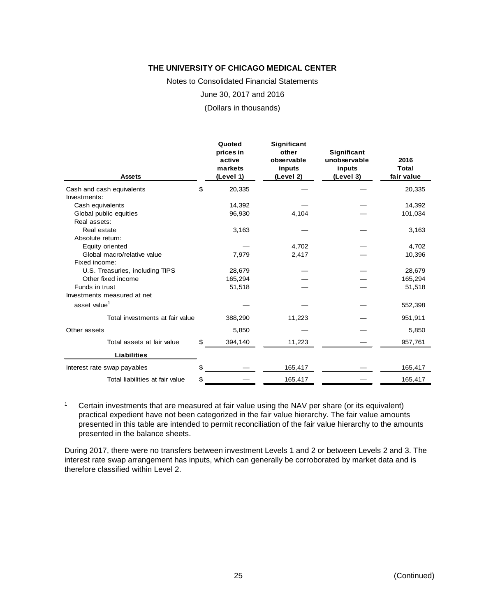Notes to Consolidated Financial Statements

June 30, 2017 and 2016

(Dollars in thousands)

| <b>Assets</b>                   | Quoted<br>prices in<br>active<br>markets<br>(Level 1) | <b>Significant</b><br>other<br>observable<br>inputs<br>(Level 2) | <b>Significant</b><br>unobservable<br>inputs<br>(Level 3) | 2016<br><b>Total</b><br>fair value |
|---------------------------------|-------------------------------------------------------|------------------------------------------------------------------|-----------------------------------------------------------|------------------------------------|
| Cash and cash equivalents       | \$<br>20,335                                          |                                                                  |                                                           | 20,335                             |
| Investments:                    |                                                       |                                                                  |                                                           |                                    |
| Cash equivalents                | 14,392                                                |                                                                  |                                                           | 14,392                             |
| Global public equities          | 96,930                                                | 4,104                                                            |                                                           | 101,034                            |
| Real assets:                    |                                                       |                                                                  |                                                           |                                    |
| Real estate                     | 3,163                                                 |                                                                  |                                                           | 3,163                              |
| Absolute return:                |                                                       |                                                                  |                                                           |                                    |
| Equity oriented                 |                                                       | 4,702                                                            |                                                           | 4,702                              |
| Global macro/relative value     | 7,979                                                 | 2,417                                                            |                                                           | 10,396                             |
| Fixed income:                   |                                                       |                                                                  |                                                           |                                    |
| U.S. Treasuries, including TIPS | 28,679                                                |                                                                  |                                                           | 28,679                             |
| Other fixed income              | 165,294                                               |                                                                  |                                                           | 165,294                            |
| Funds in trust                  | 51,518                                                |                                                                  |                                                           | 51,518                             |
| Investments measured at net     |                                                       |                                                                  |                                                           |                                    |
| asset value <sup>1</sup>        |                                                       |                                                                  |                                                           | 552,398                            |
| Total investments at fair value | 388,290                                               | 11,223                                                           |                                                           | 951,911                            |
| Other assets                    | 5,850                                                 |                                                                  |                                                           | 5,850                              |
| Total assets at fair value      | \$<br>394,140                                         | 11,223                                                           |                                                           | 957,761                            |
| <b>Liabilities</b>              |                                                       |                                                                  |                                                           |                                    |
| Interest rate swap payables     |                                                       | 165,417                                                          |                                                           | 165,417                            |
| Total liabilities at fair value | \$                                                    | 165,417                                                          |                                                           | 165,417                            |

<sup>1</sup> Certain investments that are measured at fair value using the NAV per share (or its equivalent) practical expedient have not been categorized in the fair value hierarchy. The fair value amounts presented in this table are intended to permit reconciliation of the fair value hierarchy to the amounts presented in the balance sheets.

During 2017, there were no transfers between investment Levels 1 and 2 or between Levels 2 and 3. The interest rate swap arrangement has inputs, which can generally be corroborated by market data and is therefore classified within Level 2.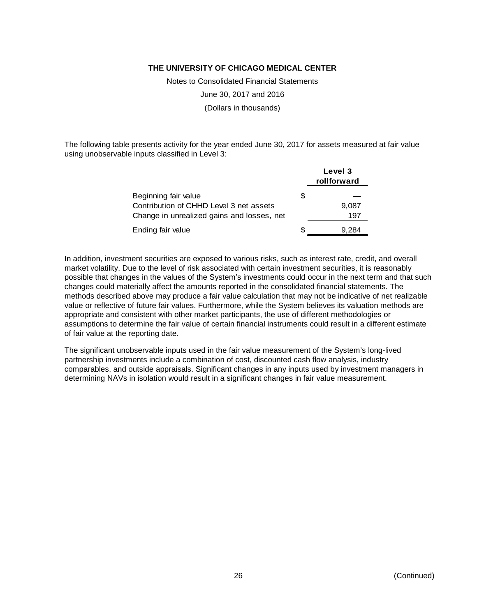Notes to Consolidated Financial Statements

June 30, 2017 and 2016

(Dollars in thousands)

The following table presents activity for the year ended June 30, 2017 for assets measured at fair value using unobservable inputs classified in Level 3:

|                                            |   | Level 3<br>rollforward |
|--------------------------------------------|---|------------------------|
| Beginning fair value                       | S |                        |
| Contribution of CHHD Level 3 net assets    |   | 9,087                  |
| Change in unrealized gains and losses, net |   | 197                    |
| Ending fair value                          | S | .284                   |

In addition, investment securities are exposed to various risks, such as interest rate, credit, and overall market volatility. Due to the level of risk associated with certain investment securities, it is reasonably possible that changes in the values of the System's investments could occur in the next term and that such changes could materially affect the amounts reported in the consolidated financial statements. The methods described above may produce a fair value calculation that may not be indicative of net realizable value or reflective of future fair values. Furthermore, while the System believes its valuation methods are appropriate and consistent with other market participants, the use of different methodologies or assumptions to determine the fair value of certain financial instruments could result in a different estimate of fair value at the reporting date.

The significant unobservable inputs used in the fair value measurement of the System's long-lived partnership investments include a combination of cost, discounted cash flow analysis, industry comparables, and outside appraisals. Significant changes in any inputs used by investment managers in determining NAVs in isolation would result in a significant changes in fair value measurement.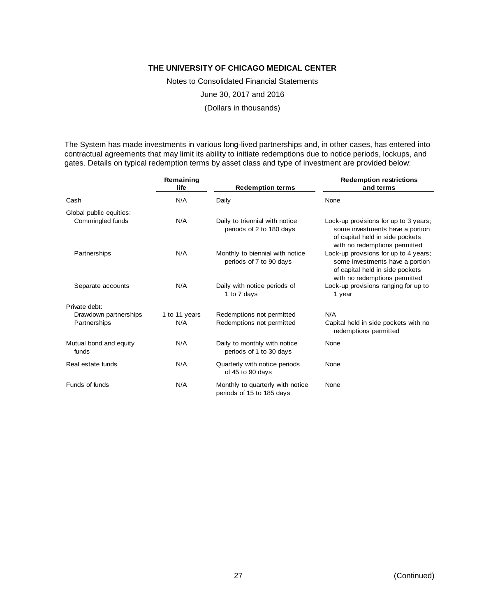Notes to Consolidated Financial Statements

June 30, 2017 and 2016

(Dollars in thousands)

The System has made investments in various long-lived partnerships and, in other cases, has entered into contractual agreements that may limit its ability to initiate redemptions due to notice periods, lockups, and gates. Details on typical redemption terms by asset class and type of investment are provided below:

|                                 | Remaining<br>life<br><b>Redemption terms</b> |                                                               | <b>Redemption restrictions</b><br>and terms                                                                                                  |  |  |
|---------------------------------|----------------------------------------------|---------------------------------------------------------------|----------------------------------------------------------------------------------------------------------------------------------------------|--|--|
| Cash                            | N/A                                          | Daily                                                         | None                                                                                                                                         |  |  |
| Global public equities:         |                                              |                                                               |                                                                                                                                              |  |  |
| Commingled funds                | N/A                                          | Daily to triennial with notice<br>periods of 2 to 180 days    | Lock-up provisions for up to 3 years:<br>some investments have a portion<br>of capital held in side pockets<br>with no redemptions permitted |  |  |
| Partnerships                    | N/A                                          | Monthly to biennial with notice<br>periods of 7 to 90 days    | Lock-up provisions for up to 4 years;<br>some investments have a portion<br>of capital held in side pockets<br>with no redemptions permitted |  |  |
| Separate accounts               | N/A                                          | Daily with notice periods of<br>1 to 7 days                   | Lock-up provisions ranging for up to<br>1 year                                                                                               |  |  |
| Private debt:                   |                                              |                                                               |                                                                                                                                              |  |  |
| Drawdown partnerships           | 1 to 11 years                                | Redemptions not permitted                                     | N/A                                                                                                                                          |  |  |
| Partnerships                    | N/A                                          | Redemptions not permitted                                     | Capital held in side pockets with no<br>redemptions permitted                                                                                |  |  |
| Mutual bond and equity<br>funds | N/A                                          | Daily to monthly with notice<br>periods of 1 to 30 days       | None                                                                                                                                         |  |  |
| Real estate funds               | N/A                                          | Quarterly with notice periods<br>of 45 to 90 days             | None                                                                                                                                         |  |  |
| Funds of funds                  | N/A                                          | Monthly to quarterly with notice<br>periods of 15 to 185 days | None                                                                                                                                         |  |  |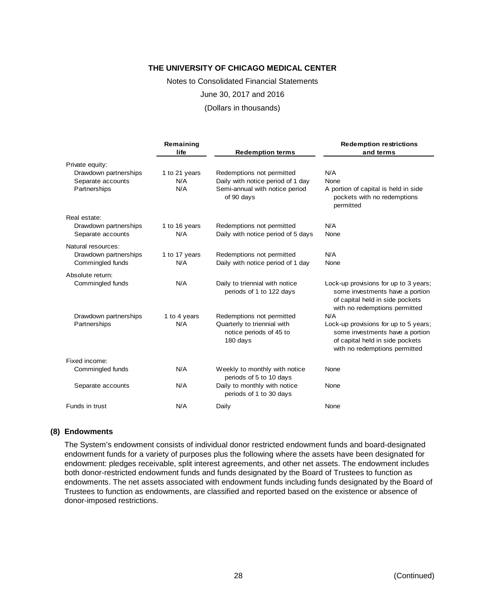Notes to Consolidated Financial Statements June 30, 2017 and 2016

(Dollars in thousands)

| Remaining<br>life<br><b>Redemption terms</b> |                      | <b>Redemption restrictions</b><br>and terms                        |                                                                                                                                              |  |
|----------------------------------------------|----------------------|--------------------------------------------------------------------|----------------------------------------------------------------------------------------------------------------------------------------------|--|
| Private equity:                              |                      |                                                                    |                                                                                                                                              |  |
| Drawdown partnerships<br>Separate accounts   | 1 to 21 years<br>N/A | Redemptions not permitted<br>Daily with notice period of 1 day     | N/A<br>None                                                                                                                                  |  |
| Partnerships                                 | N/A                  | Semi-annual with notice period<br>of 90 days                       | A portion of capital is held in side<br>pockets with no redemptions<br>permitted                                                             |  |
| Real estate:                                 |                      |                                                                    |                                                                                                                                              |  |
| Drawdown partnerships                        | 1 to 16 years        | Redemptions not permitted                                          | N/A                                                                                                                                          |  |
| Separate accounts                            | N/A                  | Daily with notice period of 5 days                                 | None                                                                                                                                         |  |
| Natural resources:                           |                      |                                                                    |                                                                                                                                              |  |
| Drawdown partnerships                        | 1 to 17 years        | Redemptions not permitted                                          | N/A                                                                                                                                          |  |
| Commingled funds                             | N/A                  | Daily with notice period of 1 day                                  | None                                                                                                                                         |  |
| Absolute return:                             |                      |                                                                    |                                                                                                                                              |  |
| Commingled funds                             | N/A                  | Daily to triennial with notice<br>periods of 1 to 122 days         | Lock-up provisions for up to 3 years;<br>some investments have a portion<br>of capital held in side pockets<br>with no redemptions permitted |  |
| Drawdown partnerships                        | 1 to 4 years         | Redemptions not permitted                                          | N/A                                                                                                                                          |  |
| Partnerships                                 | N/A                  | Quarterly to triennial with<br>notice periods of 45 to<br>180 days | Lock-up provisions for up to 5 years;<br>some investments have a portion<br>of capital held in side pockets<br>with no redemptions permitted |  |
| Fixed income:                                |                      |                                                                    |                                                                                                                                              |  |
| Commingled funds                             | N/A                  | Weekly to monthly with notice<br>periods of 5 to 10 days           | None                                                                                                                                         |  |
| Separate accounts                            | N/A                  | Daily to monthly with notice<br>periods of 1 to 30 days            | None                                                                                                                                         |  |
| Funds in trust                               | N/A                  | Daily                                                              | None                                                                                                                                         |  |

#### **(8) Endowments**

The System's endowment consists of individual donor restricted endowment funds and board-designated endowment funds for a variety of purposes plus the following where the assets have been designated for endowment: pledges receivable, split interest agreements, and other net assets. The endowment includes both donor-restricted endowment funds and funds designated by the Board of Trustees to function as endowments. The net assets associated with endowment funds including funds designated by the Board of Trustees to function as endowments, are classified and reported based on the existence or absence of donor-imposed restrictions.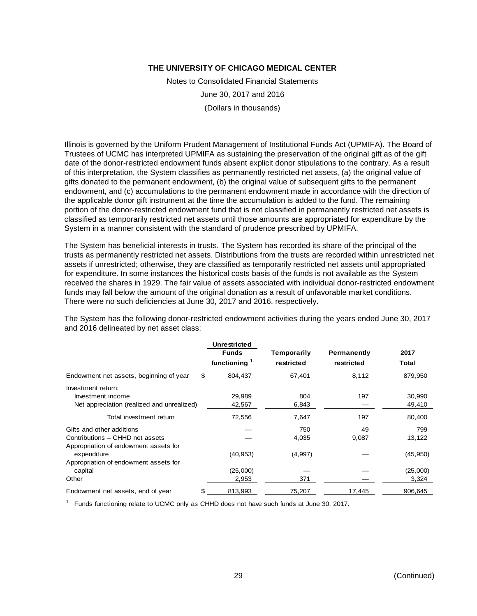Notes to Consolidated Financial Statements June 30, 2017 and 2016 (Dollars in thousands)

Illinois is governed by the Uniform Prudent Management of Institutional Funds Act (UPMIFA). The Board of Trustees of UCMC has interpreted UPMIFA as sustaining the preservation of the original gift as of the gift date of the donor-restricted endowment funds absent explicit donor stipulations to the contrary. As a result of this interpretation, the System classifies as permanently restricted net assets, (a) the original value of gifts donated to the permanent endowment, (b) the original value of subsequent gifts to the permanent endowment, and (c) accumulations to the permanent endowment made in accordance with the direction of the applicable donor gift instrument at the time the accumulation is added to the fund. The remaining portion of the donor-restricted endowment fund that is not classified in permanently restricted net assets is classified as temporarily restricted net assets until those amounts are appropriated for expenditure by the System in a manner consistent with the standard of prudence prescribed by UPMIFA.

The System has beneficial interests in trusts. The System has recorded its share of the principal of the trusts as permanently restricted net assets. Distributions from the trusts are recorded within unrestricted net assets if unrestricted; otherwise, they are classified as temporarily restricted net assets until appropriated for expenditure. In some instances the historical costs basis of the funds is not available as the System received the shares in 1929. The fair value of assets associated with individual donor-restricted endowment funds may fall below the amount of the original donation as a result of unfavorable market conditions. There were no such deficiencies at June 30, 2017 and 2016, respectively.

The System has the following donor-restricted endowment activities during the years ended June 30, 2017 and 2016 delineated by net asset class:

|                                            | Unrestricted<br><b>Funds</b><br>functioning <sup>1</sup> | Temporarily<br>restricted | Permanently<br>restricted | 2017<br>Total |
|--------------------------------------------|----------------------------------------------------------|---------------------------|---------------------------|---------------|
|                                            |                                                          |                           |                           |               |
| Endowment net assets, beginning of year    | \$<br>804.437                                            | 67.401                    | 8,112                     | 879,950       |
| Investment return:                         |                                                          |                           |                           |               |
| Investment income                          | 29,989                                                   | 804                       | 197                       | 30,990        |
| Net appreciation (realized and unrealized) | 42,567                                                   | 6,843                     |                           | 49,410        |
| Total investment return                    | 72,556                                                   | 7,647                     | 197                       | 80,400        |
| Gifts and other additions                  |                                                          | 750                       | 49                        | 799           |
| Contributions - CHHD net assets            |                                                          | 4,035                     | 9,087                     | 13,122        |
| Appropriation of endowment assets for      |                                                          |                           |                           |               |
| expenditure                                | (40, 953)                                                | (4,997)                   |                           | (45, 950)     |
| Appropriation of endowment assets for      |                                                          |                           |                           |               |
| capital                                    | (25,000)                                                 |                           |                           | (25,000)      |
| Other                                      | 2,953                                                    | 371                       |                           | 3,324         |
| Endowment net assets, end of year          | \$<br>813,993                                            | 75,207                    | 17,445                    | 906,645       |

<sup>1</sup> Funds functioning relate to UCMC only as CHHD does not have such funds at June 30, 2017.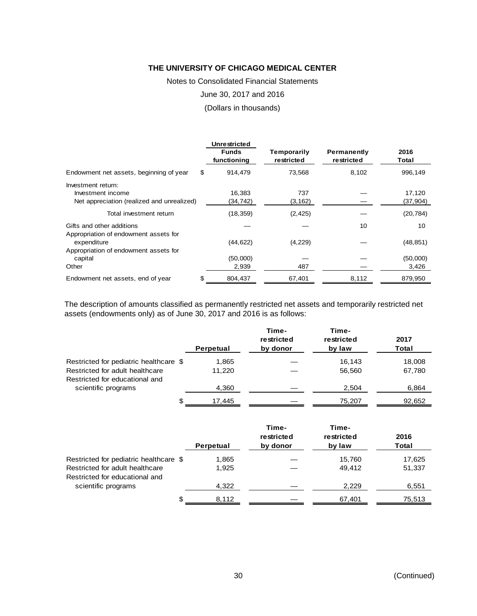Notes to Consolidated Financial Statements

June 30, 2017 and 2016

(Dollars in thousands)

|                                            | <b>Unrestricted</b>         |                           |                           |               |
|--------------------------------------------|-----------------------------|---------------------------|---------------------------|---------------|
|                                            | <b>Funds</b><br>functioning | Temporarily<br>restricted | Permanently<br>restricted | 2016<br>Total |
| Endowment net assets, beginning of year    | \$<br>914,479               | 73,568                    | 8,102                     | 996,149       |
| Investment return:                         |                             |                           |                           |               |
| Investment income                          | 16,383                      | 737                       |                           | 17,120        |
| Net appreciation (realized and unrealized) | (34,742)                    | (3, 162)                  |                           | (37, 904)     |
| Total investment return                    | (18, 359)                   | (2, 425)                  |                           | (20, 784)     |
| Gifts and other additions                  |                             |                           | 10                        | 10            |
| Appropriation of endowment assets for      |                             |                           |                           |               |
| expenditure                                | (44, 622)                   | (4,229)                   |                           | (48, 851)     |
| Appropriation of endowment assets for      |                             |                           |                           |               |
| capital                                    | (50,000)                    |                           |                           | (50,000)      |
| Other                                      | 2,939                       | 487                       |                           | 3,426         |
| Endowment net assets, end of year          | \$<br>804,437               | 67,401                    | 8,112                     | 879,950       |

The description of amounts classified as permanently restricted net assets and temporarily restricted net assets (endowments only) as of June 30, 2017 and 2016 is as follows:

|                                                                   | Perpetual | Time-<br>restricted<br>by donor | Time-<br>restricted<br>by law | 2017<br>Total |
|-------------------------------------------------------------------|-----------|---------------------------------|-------------------------------|---------------|
| Restricted for pediatric healthcare \$                            | 1,865     |                                 | 16.143                        | 18,008        |
| Restricted for adult healthcare<br>Restricted for educational and | 11.220    |                                 | 56,560                        | 67,780        |
| scientific programs                                               | 4,360     |                                 | 2,504                         | 6,864         |
| S                                                                 | 17,445    |                                 | 75,207                        | 92,652        |

|                                                                   | Perpetual | Time-<br>restricted<br>by donor | Time-<br>restricted<br>by law | 2016<br>Total |
|-------------------------------------------------------------------|-----------|---------------------------------|-------------------------------|---------------|
| Restricted for pediatric healthcare \$                            | 1,865     |                                 | 15,760                        | 17,625        |
| Restricted for adult healthcare<br>Restricted for educational and | 1.925     |                                 | 49,412                        | 51,337        |
| scientific programs                                               | 4,322     |                                 | 2,229                         | 6,551         |
| ß.                                                                | 8.112     |                                 | 67,401                        | 75,513        |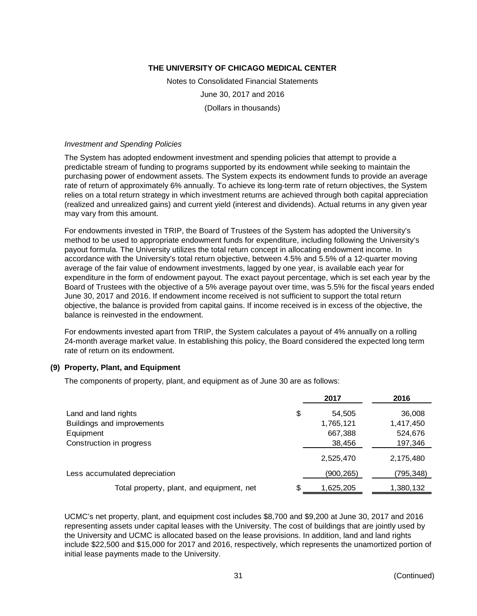Notes to Consolidated Financial Statements June 30, 2017 and 2016 (Dollars in thousands)

#### *Investment and Spending Policies*

The System has adopted endowment investment and spending policies that attempt to provide a predictable stream of funding to programs supported by its endowment while seeking to maintain the purchasing power of endowment assets. The System expects its endowment funds to provide an average rate of return of approximately 6% annually. To achieve its long-term rate of return objectives, the System relies on a total return strategy in which investment returns are achieved through both capital appreciation (realized and unrealized gains) and current yield (interest and dividends). Actual returns in any given year may vary from this amount.

For endowments invested in TRIP, the Board of Trustees of the System has adopted the University's method to be used to appropriate endowment funds for expenditure, including following the University's payout formula. The University utilizes the total return concept in allocating endowment income. In accordance with the University's total return objective, between 4.5% and 5.5% of a 12-quarter moving average of the fair value of endowment investments, lagged by one year, is available each year for expenditure in the form of endowment payout. The exact payout percentage, which is set each year by the Board of Trustees with the objective of a 5% average payout over time, was 5.5% for the fiscal years ended June 30, 2017 and 2016. If endowment income received is not sufficient to support the total return objective, the balance is provided from capital gains. If income received is in excess of the objective, the balance is reinvested in the endowment.

For endowments invested apart from TRIP, the System calculates a payout of 4% annually on a rolling 24-month average market value. In establishing this policy, the Board considered the expected long term rate of return on its endowment.

#### **(9) Property, Plant, and Equipment**

The components of property, plant, and equipment as of June 30 are as follows:

|                                           | 2017         | 2016      |
|-------------------------------------------|--------------|-----------|
| Land and land rights                      | \$<br>54,505 | 36,008    |
| Buildings and improvements                | 1,765,121    | 1,417,450 |
| Equipment                                 | 667,388      | 524,676   |
| Construction in progress                  | 38,456       | 197,346   |
|                                           | 2,525,470    | 2,175,480 |
| Less accumulated depreciation             | (900,265)    | (795,348) |
| Total property, plant, and equipment, net | 1,625,205    | 1,380,132 |

UCMC's net property, plant, and equipment cost includes \$8,700 and \$9,200 at June 30, 2017 and 2016 representing assets under capital leases with the University. The cost of buildings that are jointly used by the University and UCMC is allocated based on the lease provisions. In addition, land and land rights include \$22,500 and \$15,000 for 2017 and 2016, respectively, which represents the unamortized portion of initial lease payments made to the University.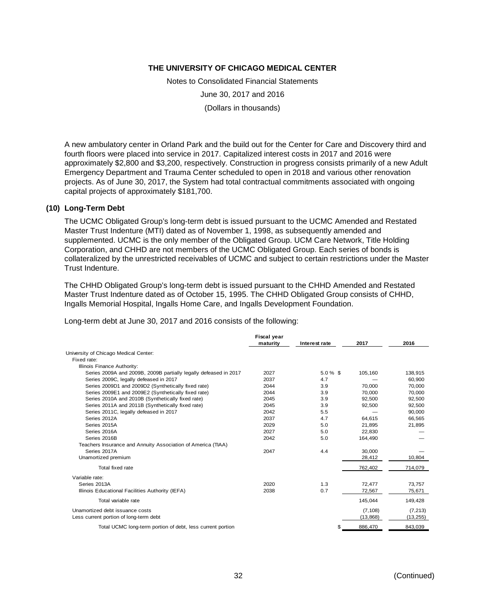Notes to Consolidated Financial Statements June 30, 2017 and 2016 (Dollars in thousands)

A new ambulatory center in Orland Park and the build out for the Center for Care and Discovery third and fourth floors were placed into service in 2017. Capitalized interest costs in 2017 and 2016 were approximately \$2,800 and \$3,200, respectively. Construction in progress consists primarily of a new Adult Emergency Department and Trauma Center scheduled to open in 2018 and various other renovation projects. As of June 30, 2017, the System had total contractual commitments associated with ongoing capital projects of approximately \$181,700.

#### **(10) Long-Term Debt**

The UCMC Obligated Group's long-term debt is issued pursuant to the UCMC Amended and Restated Master Trust Indenture (MTI) dated as of November 1, 1998, as subsequently amended and supplemented. UCMC is the only member of the Obligated Group. UCM Care Network, Title Holding Corporation, and CHHD are not members of the UCMC Obligated Group. Each series of bonds is collateralized by the unrestricted receivables of UCMC and subject to certain restrictions under the Master Trust Indenture.

The CHHD Obligated Group's long-term debt is issued pursuant to the CHHD Amended and Restated Master Trust Indenture dated as of October 15, 1995. The CHHD Obligated Group consists of CHHD, Ingalls Memorial Hospital, Ingalls Home Care, and Ingalls Development Foundation.

Long-term debt at June 30, 2017 and 2016 consists of the following:

|                                                                  | Fiscal year<br>maturity | Interest rate | 2017      | 2016      |
|------------------------------------------------------------------|-------------------------|---------------|-----------|-----------|
| University of Chicago Medical Center:                            |                         |               |           |           |
| Fixed rate:                                                      |                         |               |           |           |
| Illinois Finance Authority:                                      |                         |               |           |           |
| Series 2009A and 2009B, 2009B partially legally defeased in 2017 | 2027                    | $5.0\%$ \$    | 105,160   | 138,915   |
| Series 2009C, legally defeased in 2017                           | 2037                    | 4.7           |           | 60.900    |
| Series 2009D1 and 2009D2 (Synthetically fixed rate)              | 2044                    | 3.9           | 70.000    | 70,000    |
| Series 2009E1 and 2009E2 (Synthetically fixed rate)              | 2044                    | 3.9           | 70.000    | 70.000    |
| Series 2010A and 2010B (Synthetically fixed rate)                | 2045                    | 3.9           | 92,500    | 92,500    |
| Series 2011A and 2011B (Synthetically fixed rate)                | 2045                    | 3.9           | 92,500    | 92,500    |
| Series 2011C, legally defeased in 2017                           | 2042                    | 5.5           |           | 90,000    |
| Series 2012A                                                     | 2037                    | 4.7           | 64.615    | 66.565    |
| Series 2015A                                                     | 2029                    | 5.0           | 21.895    | 21.895    |
| Series 2016A                                                     | 2027                    | 5.0           | 22.830    |           |
| Series 2016B                                                     | 2042                    | 5.0           | 164,490   |           |
| Teachers Insurance and Annuity Association of America (TIAA)     |                         |               |           |           |
| Series 2017A                                                     | 2047                    | 4.4           | 30,000    |           |
| Unamortized premium                                              |                         |               | 28,412    | 10,804    |
| Total fixed rate                                                 |                         |               | 762,402   | 714,079   |
| Variable rate:                                                   |                         |               |           |           |
| Series 2013A                                                     | 2020                    | 1.3           | 72,477    | 73,757    |
| Illinois Educational Facilities Authority (IEFA)                 | 2038                    | 0.7           | 72,567    | 75,671    |
| Total variable rate                                              |                         |               | 145,044   | 149,428   |
| Unamortized debt issuance costs                                  |                         |               | (7, 108)  | (7, 213)  |
| Less current portion of long-term debt                           |                         |               | (13, 868) | (13, 255) |
| Total UCMC long-term portion of debt, less current portion       |                         |               | 886,470   | 843,039   |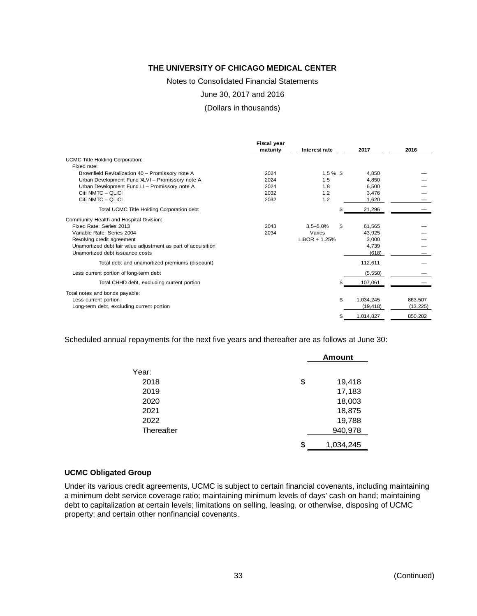Notes to Consolidated Financial Statements

June 30, 2017 and 2016

(Dollars in thousands)

|                                                               | Fiscal year |                 |                 |           |
|---------------------------------------------------------------|-------------|-----------------|-----------------|-----------|
|                                                               | maturity    | Interest rate   | 2017            | 2016      |
| <b>UCMC Title Holding Corporation:</b>                        |             |                 |                 |           |
| Fixed rate:                                                   |             |                 |                 |           |
| Brownfield Revitalization 40 - Promissory note A              | 2024        | $1.5 \%$ \$     | 4.850           |           |
| Urban Development Fund XLVI - Promissory note A               | 2024        | 1.5             | 4.850           |           |
| Urban Development Fund LI - Promissory note A                 | 2024        | 1.8             | 6,500           |           |
| Citi NMTC - OLICI                                             | 2032        | 1.2             | 3.476           |           |
| Citi NMTC - QLICI                                             | 2032        | 1.2             | 1.620           |           |
| Total UCMC Title Holding Corporation debt                     |             |                 | \$<br>21,296    |           |
| Community Health and Hospital Division:                       |             |                 |                 |           |
| Fixed Rate: Series 2013                                       | 2043        | $3.5 - 5.0%$    | \$<br>61.565    |           |
| Variable Rate: Series 2004                                    | 2034        | Varies          | 43.925          |           |
| Revolving credit agreement                                    |             | $LIBOR + 1.25%$ | 3,000           |           |
| Unamortized debt fair value adjustment as part of acquisition |             |                 | 4,739           |           |
| Unamortized debt issuance costs                               |             |                 | (618)           |           |
| Total debt and unamortized premiums (discount)                |             |                 | 112,611         |           |
| Less current portion of long-term debt                        |             |                 | (5, 550)        |           |
| Total CHHD debt, excluding current portion                    |             |                 | \$<br>107,061   |           |
| Total notes and bonds payable:                                |             |                 |                 |           |
| Less current portion                                          |             |                 | \$<br>1,034,245 | 863,507   |
| Long-term debt, excluding current portion                     |             |                 | (19, 418)       | (13, 225) |
|                                                               |             |                 | \$<br>1,014,827 | 850,282   |

Scheduled annual repayments for the next five years and thereafter are as follows at June 30:

|            | <b>Amount</b>   |
|------------|-----------------|
| Year:      |                 |
| 2018       | \$<br>19,418    |
| 2019       | 17,183          |
| 2020       | 18,003          |
| 2021       | 18,875          |
| 2022       | 19,788          |
| Thereafter | 940,978         |
|            | \$<br>1,034,245 |

#### **UCMC Obligated Group**

Under its various credit agreements, UCMC is subject to certain financial covenants, including maintaining a minimum debt service coverage ratio; maintaining minimum levels of days' cash on hand; maintaining debt to capitalization at certain levels; limitations on selling, leasing, or otherwise, disposing of UCMC property; and certain other nonfinancial covenants.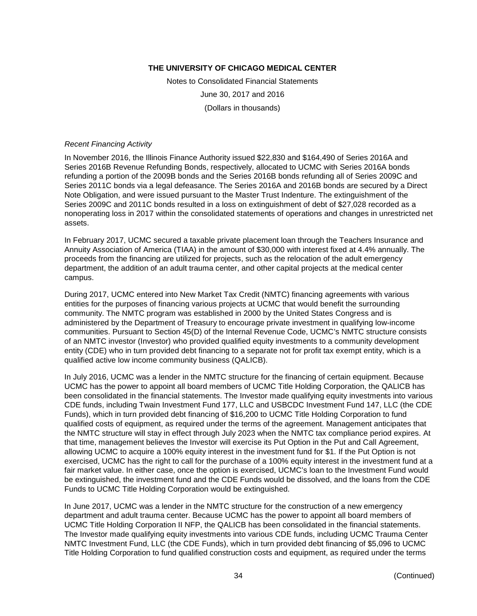Notes to Consolidated Financial Statements June 30, 2017 and 2016 (Dollars in thousands)

#### *Recent Financing Activity*

In November 2016, the Illinois Finance Authority issued \$22,830 and \$164,490 of Series 2016A and Series 2016B Revenue Refunding Bonds, respectively, allocated to UCMC with Series 2016A bonds refunding a portion of the 2009B bonds and the Series 2016B bonds refunding all of Series 2009C and Series 2011C bonds via a legal defeasance. The Series 2016A and 2016B bonds are secured by a Direct Note Obligation, and were issued pursuant to the Master Trust Indenture. The extinguishment of the Series 2009C and 2011C bonds resulted in a loss on extinguishment of debt of \$27,028 recorded as a nonoperating loss in 2017 within the consolidated statements of operations and changes in unrestricted net assets.

In February 2017, UCMC secured a taxable private placement loan through the Teachers Insurance and Annuity Association of America (TIAA) in the amount of \$30,000 with interest fixed at 4.4% annually. The proceeds from the financing are utilized for projects, such as the relocation of the adult emergency department, the addition of an adult trauma center, and other capital projects at the medical center campus.

During 2017, UCMC entered into New Market Tax Credit (NMTC) financing agreements with various entities for the purposes of financing various projects at UCMC that would benefit the surrounding community. The NMTC program was established in 2000 by the United States Congress and is administered by the Department of Treasury to encourage private investment in qualifying low-income communities. Pursuant to Section 45(D) of the Internal Revenue Code, UCMC's NMTC structure consists of an NMTC investor (Investor) who provided qualified equity investments to a community development entity (CDE) who in turn provided debt financing to a separate not for profit tax exempt entity, which is a qualified active low income community business (QALICB).

In July 2016, UCMC was a lender in the NMTC structure for the financing of certain equipment. Because UCMC has the power to appoint all board members of UCMC Title Holding Corporation, the QALICB has been consolidated in the financial statements. The Investor made qualifying equity investments into various CDE funds, including Twain Investment Fund 177, LLC and USBCDC Investment Fund 147, LLC (the CDE Funds), which in turn provided debt financing of \$16,200 to UCMC Title Holding Corporation to fund qualified costs of equipment, as required under the terms of the agreement. Management anticipates that the NMTC structure will stay in effect through July 2023 when the NMTC tax compliance period expires. At that time, management believes the Investor will exercise its Put Option in the Put and Call Agreement, allowing UCMC to acquire a 100% equity interest in the investment fund for \$1. If the Put Option is not exercised, UCMC has the right to call for the purchase of a 100% equity interest in the investment fund at a fair market value. In either case, once the option is exercised, UCMC's loan to the Investment Fund would be extinguished, the investment fund and the CDE Funds would be dissolved, and the loans from the CDE Funds to UCMC Title Holding Corporation would be extinguished.

In June 2017, UCMC was a lender in the NMTC structure for the construction of a new emergency department and adult trauma center. Because UCMC has the power to appoint all board members of UCMC Title Holding Corporation II NFP, the QALICB has been consolidated in the financial statements. The Investor made qualifying equity investments into various CDE funds, including UCMC Trauma Center NMTC Investment Fund, LLC (the CDE Funds), which in turn provided debt financing of \$5,096 to UCMC Title Holding Corporation to fund qualified construction costs and equipment, as required under the terms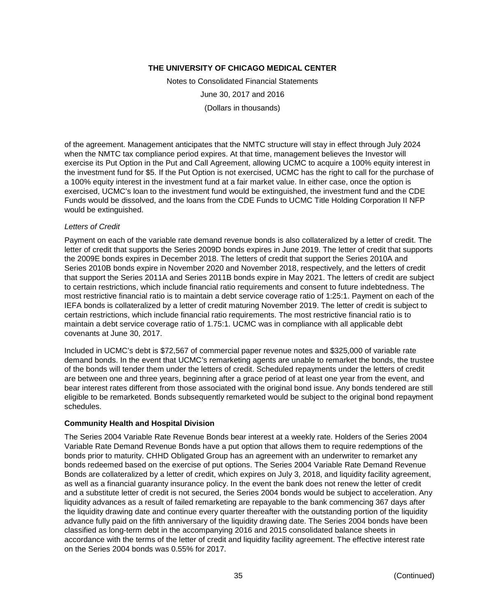Notes to Consolidated Financial Statements June 30, 2017 and 2016 (Dollars in thousands)

of the agreement. Management anticipates that the NMTC structure will stay in effect through July 2024 when the NMTC tax compliance period expires. At that time, management believes the Investor will exercise its Put Option in the Put and Call Agreement, allowing UCMC to acquire a 100% equity interest in the investment fund for \$5. If the Put Option is not exercised, UCMC has the right to call for the purchase of a 100% equity interest in the investment fund at a fair market value. In either case, once the option is exercised, UCMC's loan to the investment fund would be extinguished, the investment fund and the CDE Funds would be dissolved, and the loans from the CDE Funds to UCMC Title Holding Corporation II NFP would be extinguished.

#### *Letters of Credit*

Payment on each of the variable rate demand revenue bonds is also collateralized by a letter of credit. The letter of credit that supports the Series 2009D bonds expires in June 2019. The letter of credit that supports the 2009E bonds expires in December 2018. The letters of credit that support the Series 2010A and Series 2010B bonds expire in November 2020 and November 2018, respectively, and the letters of credit that support the Series 2011A and Series 2011B bonds expire in May 2021. The letters of credit are subject to certain restrictions, which include financial ratio requirements and consent to future indebtedness. The most restrictive financial ratio is to maintain a debt service coverage ratio of 1:25:1. Payment on each of the IEFA bonds is collateralized by a letter of credit maturing November 2019. The letter of credit is subject to certain restrictions, which include financial ratio requirements. The most restrictive financial ratio is to maintain a debt service coverage ratio of 1.75:1. UCMC was in compliance with all applicable debt covenants at June 30, 2017.

Included in UCMC's debt is \$72,567 of commercial paper revenue notes and \$325,000 of variable rate demand bonds. In the event that UCMC's remarketing agents are unable to remarket the bonds, the trustee of the bonds will tender them under the letters of credit. Scheduled repayments under the letters of credit are between one and three years, beginning after a grace period of at least one year from the event, and bear interest rates different from those associated with the original bond issue. Any bonds tendered are still eligible to be remarketed. Bonds subsequently remarketed would be subject to the original bond repayment schedules.

#### **Community Health and Hospital Division**

The Series 2004 Variable Rate Revenue Bonds bear interest at a weekly rate. Holders of the Series 2004 Variable Rate Demand Revenue Bonds have a put option that allows them to require redemptions of the bonds prior to maturity. CHHD Obligated Group has an agreement with an underwriter to remarket any bonds redeemed based on the exercise of put options. The Series 2004 Variable Rate Demand Revenue Bonds are collateralized by a letter of credit, which expires on July 3, 2018, and liquidity facility agreement, as well as a financial guaranty insurance policy. In the event the bank does not renew the letter of credit and a substitute letter of credit is not secured, the Series 2004 bonds would be subject to acceleration. Any liquidity advances as a result of failed remarketing are repayable to the bank commencing 367 days after the liquidity drawing date and continue every quarter thereafter with the outstanding portion of the liquidity advance fully paid on the fifth anniversary of the liquidity drawing date. The Series 2004 bonds have been classified as long-term debt in the accompanying 2016 and 2015 consolidated balance sheets in accordance with the terms of the letter of credit and liquidity facility agreement. The effective interest rate on the Series 2004 bonds was 0.55% for 2017.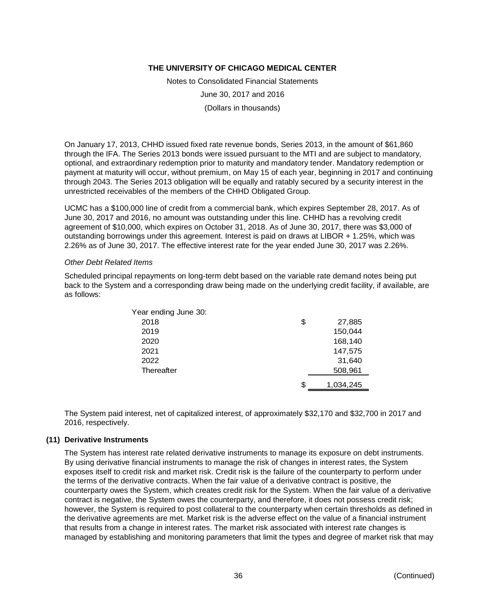Notes to Consolidated Financial Statements June 30, 2017 and 2016 (Dollars in thousands)

On January 17, 2013, CHHD issued fixed rate revenue bonds, Series 2013, in the amount of \$61,860 through the IFA. The Series 2013 bonds were issued pursuant to the MTI and are subject to mandatory, optional, and extraordinary redemption prior to maturity and mandatory tender. Mandatory redemption or payment at maturity will occur, without premium, on May 15 of each year, beginning in 2017 and continuing through 2043. The Series 2013 obligation will be equally and ratably secured by a security interest in the unrestricted receivables of the members of the CHHD Obligated Group.

UCMC has a \$100,000 line of credit from a commercial bank, which expires September 28, 2017. As of June 30, 2017 and 2016, no amount was outstanding under this line. CHHD has a revolving credit agreement of \$10,000, which expires on October 31, 2018. As of June 30, 2017, there was \$3,000 of outstanding borrowings under this agreement. Interest is paid on draws at LIBOR + 1.25%, which was 2.26% as of June 30, 2017. The effective interest rate for the year ended June 30, 2017 was 2.26%.

#### *Other Debt Related Items*

Scheduled principal repayments on long-term debt based on the variable rate demand notes being put back to the System and a corresponding draw being made on the underlying credit facility, if available, are as follows:

| Year ending June 30: |                 |
|----------------------|-----------------|
| 2018                 | \$<br>27,885    |
| 2019                 | 150,044         |
| 2020                 | 168,140         |
| 2021                 | 147,575         |
| 2022                 | 31,640          |
| Thereafter           | 508,961         |
|                      | \$<br>1,034,245 |
|                      |                 |

The System paid interest, net of capitalized interest, of approximately \$32,170 and \$32,700 in 2017 and 2016, respectively.

# **(11) Derivative Instruments**

The System has interest rate related derivative instruments to manage its exposure on debt instruments. By using derivative financial instruments to manage the risk of changes in interest rates, the System exposes itself to credit risk and market risk. Credit risk is the failure of the counterparty to perform under the terms of the derivative contracts. When the fair value of a derivative contract is positive, the counterparty owes the System, which creates credit risk for the System. When the fair value of a derivative contract is negative, the System owes the counterparty, and therefore, it does not possess credit risk; however, the System is required to post collateral to the counterparty when certain thresholds as defined in the derivative agreements are met. Market risk is the adverse effect on the value of a financial instrument that results from a change in interest rates. The market risk associated with interest rate changes is managed by establishing and monitoring parameters that limit the types and degree of market risk that may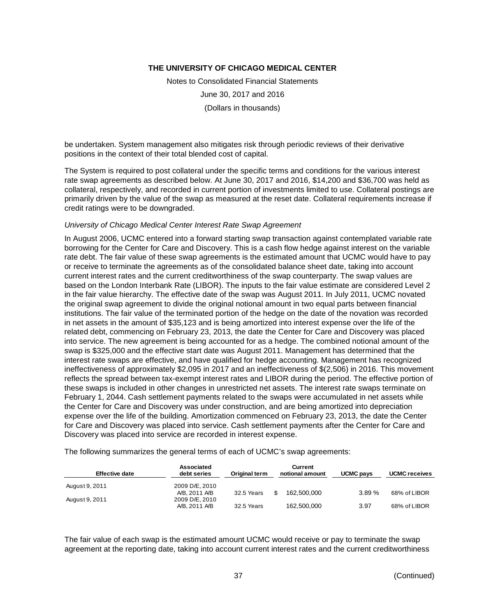Notes to Consolidated Financial Statements June 30, 2017 and 2016 (Dollars in thousands)

be undertaken. System management also mitigates risk through periodic reviews of their derivative positions in the context of their total blended cost of capital.

The System is required to post collateral under the specific terms and conditions for the various interest rate swap agreements as described below. At June 30, 2017 and 2016, \$14,200 and \$36,700 was held as collateral, respectively, and recorded in current portion of investments limited to use. Collateral postings are primarily driven by the value of the swap as measured at the reset date. Collateral requirements increase if credit ratings were to be downgraded.

#### *University of Chicago Medical Center Interest Rate Swap Agreement*

In August 2006, UCMC entered into a forward starting swap transaction against contemplated variable rate borrowing for the Center for Care and Discovery. This is a cash flow hedge against interest on the variable rate debt. The fair value of these swap agreements is the estimated amount that UCMC would have to pay or receive to terminate the agreements as of the consolidated balance sheet date, taking into account current interest rates and the current creditworthiness of the swap counterparty. The swap values are based on the London Interbank Rate (LIBOR). The inputs to the fair value estimate are considered Level 2 in the fair value hierarchy. The effective date of the swap was August 2011. In July 2011, UCMC novated the original swap agreement to divide the original notional amount in two equal parts between financial institutions. The fair value of the terminated portion of the hedge on the date of the novation was recorded in net assets in the amount of \$35,123 and is being amortized into interest expense over the life of the related debt, commencing on February 23, 2013, the date the Center for Care and Discovery was placed into service. The new agreement is being accounted for as a hedge. The combined notional amount of the swap is \$325,000 and the effective start date was August 2011. Management has determined that the interest rate swaps are effective, and have qualified for hedge accounting. Management has recognized ineffectiveness of approximately \$2,095 in 2017 and an ineffectiveness of \$(2,506) in 2016. This movement reflects the spread between tax-exempt interest rates and LIBOR during the period. The effective portion of these swaps is included in other changes in unrestricted net assets. The interest rate swaps terminate on February 1, 2044. Cash settlement payments related to the swaps were accumulated in net assets while the Center for Care and Discovery was under construction, and are being amortized into depreciation expense over the life of the building. Amortization commenced on February 23, 2013, the date the Center for Care and Discovery was placed into service. Cash settlement payments after the Center for Care and Discovery was placed into service are recorded in interest expense.

The following summarizes the general terms of each of UCMC's swap agreements:

| <b>Effective date</b> | Associated<br>debt series | Original term | <b>Current</b><br>notional amount | UCMC pays | <b>UCMC</b> receives |
|-----------------------|---------------------------|---------------|-----------------------------------|-----------|----------------------|
| August 9, 2011        | 2009 D/E, 2010            |               |                                   |           |                      |
|                       | A/B, 2011 A/B             | 32.5 Years    | 162.500.000                       | 3.89%     | 68% of LIBOR         |
| August 9, 2011        | 2009 D/E, 2010            |               |                                   |           |                      |
|                       | A/B, 2011 A/B             | 32.5 Years    | 162,500,000                       | 3.97      | 68% of LIBOR         |

The fair value of each swap is the estimated amount UCMC would receive or pay to terminate the swap agreement at the reporting date, taking into account current interest rates and the current creditworthiness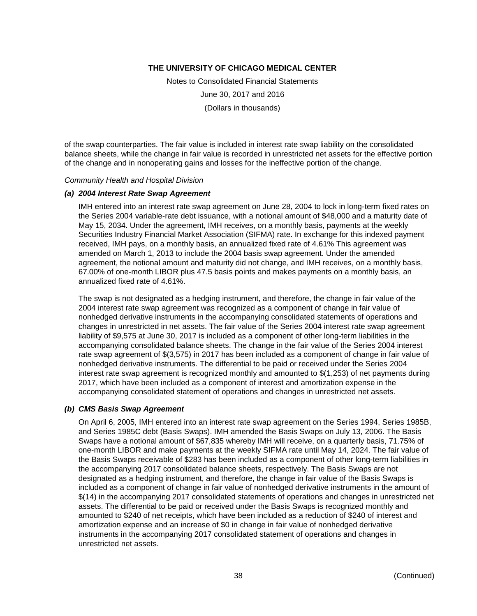Notes to Consolidated Financial Statements June 30, 2017 and 2016 (Dollars in thousands)

of the swap counterparties. The fair value is included in interest rate swap liability on the consolidated balance sheets, while the change in fair value is recorded in unrestricted net assets for the effective portion of the change and in nonoperating gains and losses for the ineffective portion of the change.

#### *Community Health and Hospital Division*

#### *(a) 2004 Interest Rate Swap Agreement*

IMH entered into an interest rate swap agreement on June 28, 2004 to lock in long-term fixed rates on the Series 2004 variable-rate debt issuance, with a notional amount of \$48,000 and a maturity date of May 15, 2034. Under the agreement, IMH receives, on a monthly basis, payments at the weekly Securities Industry Financial Market Association (SIFMA) rate. In exchange for this indexed payment received, IMH pays, on a monthly basis, an annualized fixed rate of 4.61% This agreement was amended on March 1, 2013 to include the 2004 basis swap agreement. Under the amended agreement, the notional amount and maturity did not change, and IMH receives, on a monthly basis, 67.00% of one-month LIBOR plus 47.5 basis points and makes payments on a monthly basis, an annualized fixed rate of 4.61%.

The swap is not designated as a hedging instrument, and therefore, the change in fair value of the 2004 interest rate swap agreement was recognized as a component of change in fair value of nonhedged derivative instruments in the accompanying consolidated statements of operations and changes in unrestricted in net assets. The fair value of the Series 2004 interest rate swap agreement liability of \$9,575 at June 30, 2017 is included as a component of other long-term liabilities in the accompanying consolidated balance sheets. The change in the fair value of the Series 2004 interest rate swap agreement of \$(3,575) in 2017 has been included as a component of change in fair value of nonhedged derivative instruments. The differential to be paid or received under the Series 2004 interest rate swap agreement is recognized monthly and amounted to \$(1,253) of net payments during 2017, which have been included as a component of interest and amortization expense in the accompanying consolidated statement of operations and changes in unrestricted net assets.

#### *(b) CMS Basis Swap Agreement*

On April 6, 2005, IMH entered into an interest rate swap agreement on the Series 1994, Series 1985B, and Series 1985C debt (Basis Swaps). IMH amended the Basis Swaps on July 13, 2006. The Basis Swaps have a notional amount of \$67,835 whereby IMH will receive, on a quarterly basis, 71.75% of one-month LIBOR and make payments at the weekly SIFMA rate until May 14, 2024. The fair value of the Basis Swaps receivable of \$283 has been included as a component of other long-term liabilities in the accompanying 2017 consolidated balance sheets, respectively. The Basis Swaps are not designated as a hedging instrument, and therefore, the change in fair value of the Basis Swaps is included as a component of change in fair value of nonhedged derivative instruments in the amount of \$(14) in the accompanying 2017 consolidated statements of operations and changes in unrestricted net assets. The differential to be paid or received under the Basis Swaps is recognized monthly and amounted to \$240 of net receipts, which have been included as a reduction of \$240 of interest and amortization expense and an increase of \$0 in change in fair value of nonhedged derivative instruments in the accompanying 2017 consolidated statement of operations and changes in unrestricted net assets.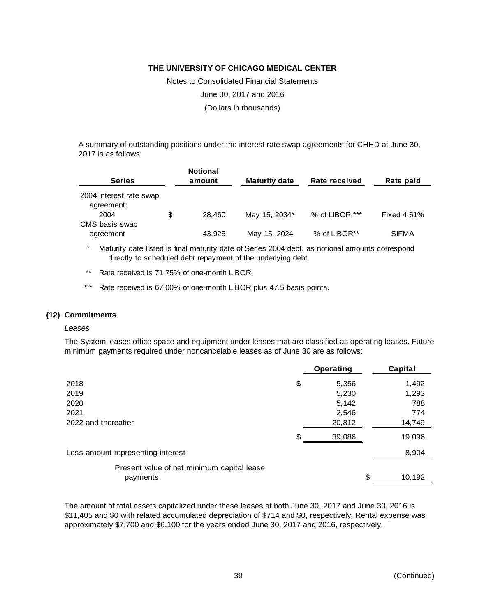Notes to Consolidated Financial Statements June 30, 2017 and 2016 (Dollars in thousands)

A summary of outstanding positions under the interest rate swap agreements for CHHD at June 30, 2017 is as follows:

| <b>Series</b>                                 | <b>Notional</b><br>amount | <b>Maturity date</b> | Rate received  | Rate paid    |
|-----------------------------------------------|---------------------------|----------------------|----------------|--------------|
| 2004 Interest rate swap<br>agreement:<br>2004 | \$<br>28.460              | May 15, 2034*        | % of LIBOR *** | Fixed 4.61%  |
| CMS basis swap<br>agreement                   | 43.925                    | May 15, 2024         | % of LIBOR**   | <b>SIFMA</b> |

\* Maturity date listed is final maturity date of Series 2004 debt, as notional amounts correspond directly to scheduled debt repayment of the underlying debt.

- \*\* Rate received is 71.75% of one-month LIBOR.
- \*\*\* Rate received is 67.00% of one-month LIBOR plus 47.5 basis points.

#### **(12) Commitments**

#### *Leases*

The System leases office space and equipment under leases that are classified as operating leases. Future minimum payments required under noncancelable leases as of June 30 are as follows:

|                                            | <b>Operating</b> | Capital      |
|--------------------------------------------|------------------|--------------|
| 2018                                       | \$<br>5,356      | 1,492        |
| 2019                                       | 5,230            | 1,293        |
| 2020                                       | 5,142            | 788          |
| 2021                                       | 2,546            | 774          |
| 2022 and thereafter                        | 20,812           | 14,749       |
|                                            | \$<br>39,086     | 19,096       |
| Less amount representing interest          |                  | 8,904        |
| Present value of net minimum capital lease |                  |              |
| payments                                   |                  | \$<br>10,192 |

The amount of total assets capitalized under these leases at both June 30, 2017 and June 30, 2016 is \$11,405 and \$0 with related accumulated depreciation of \$714 and \$0, respectively. Rental expense was approximately \$7,700 and \$6,100 for the years ended June 30, 2017 and 2016, respectively.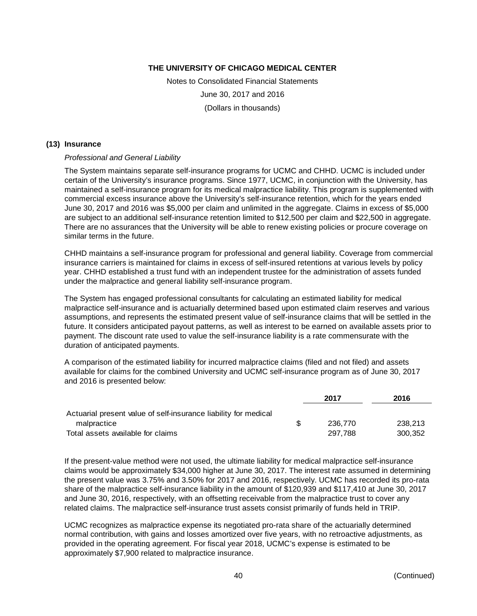Notes to Consolidated Financial Statements June 30, 2017 and 2016 (Dollars in thousands)

#### **(13) Insurance**

#### *Professional and General Liability*

The System maintains separate self-insurance programs for UCMC and CHHD. UCMC is included under certain of the University's insurance programs. Since 1977, UCMC, in conjunction with the University, has maintained a self-insurance program for its medical malpractice liability. This program is supplemented with commercial excess insurance above the University's self-insurance retention, which for the years ended June 30, 2017 and 2016 was \$5,000 per claim and unlimited in the aggregate. Claims in excess of \$5,000 are subject to an additional self-insurance retention limited to \$12,500 per claim and \$22,500 in aggregate. There are no assurances that the University will be able to renew existing policies or procure coverage on similar terms in the future.

CHHD maintains a self-insurance program for professional and general liability. Coverage from commercial insurance carriers is maintained for claims in excess of self-insured retentions at various levels by policy year. CHHD established a trust fund with an independent trustee for the administration of assets funded under the malpractice and general liability self-insurance program.

The System has engaged professional consultants for calculating an estimated liability for medical malpractice self-insurance and is actuarially determined based upon estimated claim reserves and various assumptions, and represents the estimated present value of self-insurance claims that will be settled in the future. It considers anticipated payout patterns, as well as interest to be earned on available assets prior to payment. The discount rate used to value the self-insurance liability is a rate commensurate with the duration of anticipated payments.

A comparison of the estimated liability for incurred malpractice claims (filed and not filed) and assets available for claims for the combined University and UCMC self-insurance program as of June 30, 2017 and 2016 is presented below:

|                                                                 |     | 2017    | 2016    |
|-----------------------------------------------------------------|-----|---------|---------|
| Actuarial present value of self-insurance liability for medical |     |         |         |
| malpractice                                                     | \$. | 236.770 | 238.213 |
| Total assets available for claims                               |     | 297.788 | 300.352 |

If the present-value method were not used, the ultimate liability for medical malpractice self-insurance claims would be approximately \$34,000 higher at June 30, 2017. The interest rate assumed in determining the present value was 3.75% and 3.50% for 2017 and 2016, respectively. UCMC has recorded its pro-rata share of the malpractice self-insurance liability in the amount of \$120,939 and \$117,410 at June 30, 2017 and June 30, 2016, respectively, with an offsetting receivable from the malpractice trust to cover any related claims. The malpractice self-insurance trust assets consist primarily of funds held in TRIP.

UCMC recognizes as malpractice expense its negotiated pro-rata share of the actuarially determined normal contribution, with gains and losses amortized over five years, with no retroactive adjustments, as provided in the operating agreement. For fiscal year 2018, UCMC's expense is estimated to be approximately \$7,900 related to malpractice insurance.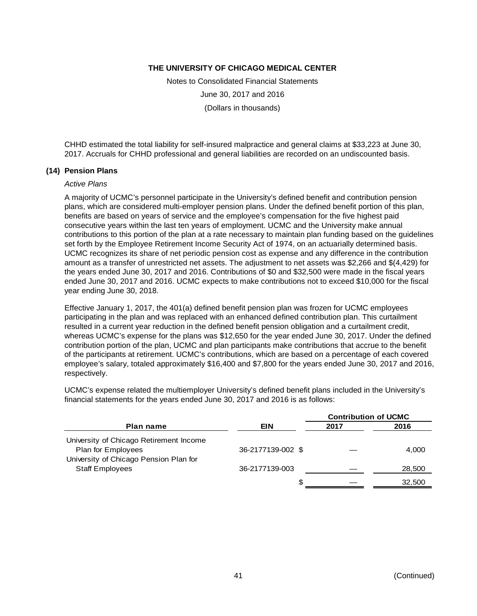Notes to Consolidated Financial Statements June 30, 2017 and 2016 (Dollars in thousands)

CHHD estimated the total liability for self-insured malpractice and general claims at \$33,223 at June 30, 2017. Accruals for CHHD professional and general liabilities are recorded on an undiscounted basis.

#### **(14) Pension Plans**

#### *Active Plans*

A majority of UCMC's personnel participate in the University's defined benefit and contribution pension plans, which are considered multi-employer pension plans. Under the defined benefit portion of this plan, benefits are based on years of service and the employee's compensation for the five highest paid consecutive years within the last ten years of employment. UCMC and the University make annual contributions to this portion of the plan at a rate necessary to maintain plan funding based on the guidelines set forth by the Employee Retirement Income Security Act of 1974, on an actuarially determined basis. UCMC recognizes its share of net periodic pension cost as expense and any difference in the contribution amount as a transfer of unrestricted net assets. The adjustment to net assets was \$2,266 and \$(4,429) for the years ended June 30, 2017 and 2016. Contributions of \$0 and \$32,500 were made in the fiscal years ended June 30, 2017 and 2016. UCMC expects to make contributions not to exceed \$10,000 for the fiscal year ending June 30, 2018.

Effective January 1, 2017, the 401(a) defined benefit pension plan was frozen for UCMC employees participating in the plan and was replaced with an enhanced defined contribution plan. This curtailment resulted in a current year reduction in the defined benefit pension obligation and a curtailment credit, whereas UCMC's expense for the plans was \$12,650 for the year ended June 30, 2017. Under the defined contribution portion of the plan, UCMC and plan participants make contributions that accrue to the benefit of the participants at retirement. UCMC's contributions, which are based on a percentage of each covered employee's salary, totaled approximately \$16,400 and \$7,800 for the years ended June 30, 2017 and 2016, respectively.

UCMC's expense related the multiemployer University's defined benefit plans included in the University's financial statements for the years ended June 30, 2017 and 2016 is as follows:

|                                                                  |                   | <b>Contribution of UCMC</b> |        |
|------------------------------------------------------------------|-------------------|-----------------------------|--------|
| <b>Plan name</b>                                                 | <b>EIN</b>        | 2017                        | 2016   |
| University of Chicago Retirement Income<br>Plan for Employees    | 36-2177139-002 \$ |                             | 4.000  |
| University of Chicago Pension Plan for<br><b>Staff Employees</b> | 36-2177139-003    |                             | 28,500 |
|                                                                  | S                 |                             | 32,500 |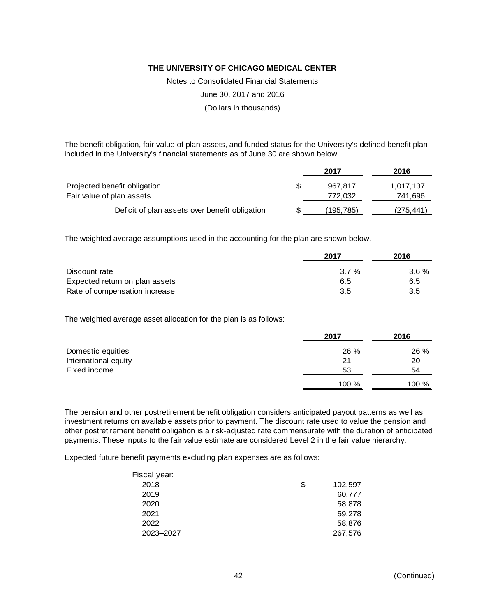Notes to Consolidated Financial Statements

June 30, 2017 and 2016

(Dollars in thousands)

The benefit obligation, fair value of plan assets, and funded status for the University's defined benefit plan included in the University's financial statements as of June 30 are shown below.

|                                                | 2017      | 2016       |
|------------------------------------------------|-----------|------------|
| Projected benefit obligation                   | 967.817   | 1,017,137  |
| Fair value of plan assets                      | 772.032   | 741,696    |
| Deficit of plan assets over benefit obligation | (195,785) | (275, 441) |

The weighted average assumptions used in the accounting for the plan are shown below.

|                                | 2017    | 2016    |  |
|--------------------------------|---------|---------|--|
| Discount rate                  | $3.7\%$ | $3.6\%$ |  |
| Expected return on plan assets | 6.5     | 6.5     |  |
| Rate of compensation increase  | -3.5    | 3.5     |  |

The weighted average asset allocation for the plan is as follows:

|                      | 2017  | 2016  |
|----------------------|-------|-------|
| Domestic equities    | 26 %  | 26 %  |
| International equity | 21    | 20    |
| Fixed income         | 53    | 54    |
|                      | 100 % | 100 % |

The pension and other postretirement benefit obligation considers anticipated payout patterns as well as investment returns on available assets prior to payment. The discount rate used to value the pension and other postretirement benefit obligation is a risk-adjusted rate commensurate with the duration of anticipated payments. These inputs to the fair value estimate are considered Level 2 in the fair value hierarchy.

Expected future benefit payments excluding plan expenses are as follows:

| Fiscal year: |               |
|--------------|---------------|
| 2018         | \$<br>102,597 |
| 2019         | 60,777        |
| 2020         | 58,878        |
| 2021         | 59,278        |
| 2022         | 58,876        |
| 2023-2027    | 267,576       |
|              |               |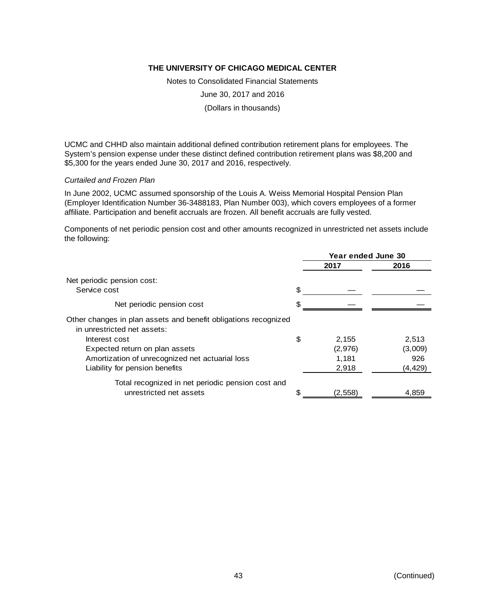Notes to Consolidated Financial Statements

June 30, 2017 and 2016

(Dollars in thousands)

UCMC and CHHD also maintain additional defined contribution retirement plans for employees. The System's pension expense under these distinct defined contribution retirement plans was \$8,200 and \$5,300 for the years ended June 30, 2017 and 2016, respectively.

#### *Curtailed and Frozen Plan*

In June 2002, UCMC assumed sponsorship of the Louis A. Weiss Memorial Hospital Pension Plan (Employer Identification Number 36-3488183, Plan Number 003), which covers employees of a former affiliate. Participation and benefit accruals are frozen. All benefit accruals are fully vested.

Components of net periodic pension cost and other amounts recognized in unrestricted net assets include the following:

|                                                                                                |     | Year ended June 30 |          |
|------------------------------------------------------------------------------------------------|-----|--------------------|----------|
|                                                                                                |     | 2017               | 2016     |
| Net periodic pension cost:                                                                     |     |                    |          |
| Service cost                                                                                   | \$. |                    |          |
| Net periodic pension cost                                                                      |     |                    |          |
| Other changes in plan assets and benefit obligations recognized<br>in unrestricted net assets: |     |                    |          |
| Interest cost                                                                                  | \$  | 2,155              | 2,513    |
| Expected return on plan assets                                                                 |     | (2,976)            | (3,009)  |
| Amortization of unrecognized net actuarial loss                                                |     | 1,181              | 926      |
| Liability for pension benefits                                                                 |     | 2,918              | (4, 429) |
| Total recognized in net periodic pension cost and                                              |     |                    |          |
| unrestricted net assets                                                                        |     | (2,558)            | 4,859    |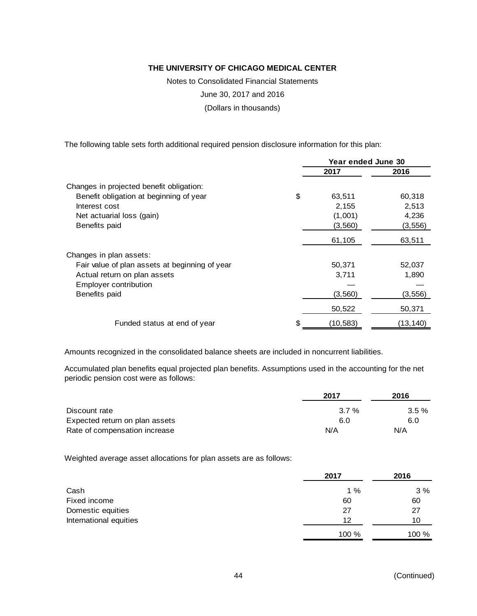Notes to Consolidated Financial Statements

June 30, 2017 and 2016

(Dollars in thousands)

The following table sets forth additional required pension disclosure information for this plan:

|                                                | Year ended June 30 |           |           |
|------------------------------------------------|--------------------|-----------|-----------|
|                                                |                    | 2017      | 2016      |
| Changes in projected benefit obligation:       |                    |           |           |
| Benefit obligation at beginning of year        | \$                 | 63,511    | 60,318    |
| Interest cost                                  |                    | 2,155     | 2,513     |
| Net actuarial loss (gain)                      |                    | (1,001)   | 4,236     |
| Benefits paid                                  |                    | (3, 560)  | (3, 556)  |
|                                                |                    | 61,105    | 63,511    |
| Changes in plan assets:                        |                    |           |           |
| Fair value of plan assets at beginning of year |                    | 50,371    | 52,037    |
| Actual return on plan assets                   |                    | 3,711     | 1,890     |
| Employer contribution                          |                    |           |           |
| Benefits paid                                  |                    | (3, 560)  | (3, 556)  |
|                                                |                    | 50,522    | 50,371    |
| Funded status at end of year                   |                    | (10, 583) | (13, 140) |

Amounts recognized in the consolidated balance sheets are included in noncurrent liabilities.

Accumulated plan benefits equal projected plan benefits. Assumptions used in the accounting for the net periodic pension cost were as follows:

|                                | 2017 | 2016     |
|--------------------------------|------|----------|
| Discount rate                  | 3.7% | $3.5 \%$ |
| Expected return on plan assets | 6.0  | 6.0      |
| Rate of compensation increase  | N/A  | N/A      |

Weighted average asset allocations for plan assets are as follows:

|                        | 2017  | 2016  |
|------------------------|-------|-------|
| Cash                   | 1%    | 3%    |
| Fixed income           | 60    | 60    |
| Domestic equities      | 27    | 27    |
| International equities | 12    | 10    |
|                        | 100 % | 100 % |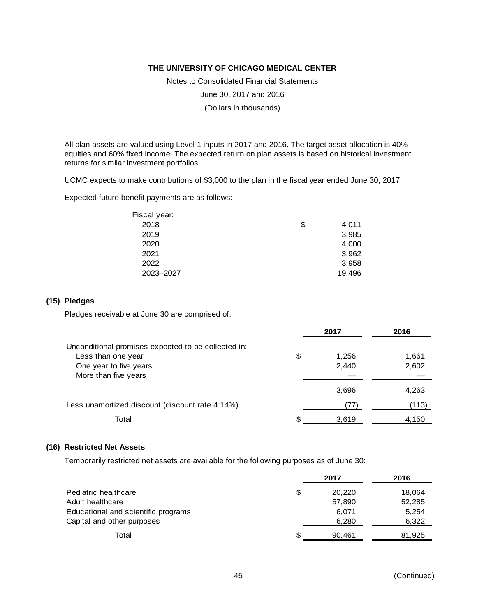Notes to Consolidated Financial Statements

June 30, 2017 and 2016

(Dollars in thousands)

All plan assets are valued using Level 1 inputs in 2017 and 2016. The target asset allocation is 40% equities and 60% fixed income. The expected return on plan assets is based on historical investment returns for similar investment portfolios.

UCMC expects to make contributions of \$3,000 to the plan in the fiscal year ended June 30, 2017.

Expected future benefit payments are as follows:

| Fiscal year: |             |
|--------------|-------------|
| 2018         | \$<br>4,011 |
| 2019         | 3,985       |
| 2020         | 4,000       |
| 2021         | 3,962       |
| 2022         | 3,958       |
| 2023-2027    | 19,496      |

# **(15) Pledges**

Pledges receivable at June 30 are comprised of:

|                                                     | 2017        | 2016  |
|-----------------------------------------------------|-------------|-------|
| Unconditional promises expected to be collected in: |             |       |
| Less than one year                                  | \$<br>1.256 | 1,661 |
| One year to five years                              | 2,440       | 2,602 |
| More than five years                                |             |       |
|                                                     | 3,696       | 4,263 |
| Less unamortized discount (discount rate 4.14%)     | 77          | (113) |
| Total                                               | \$<br>3,619 | 4,150 |

#### **(16) Restricted Net Assets**

Temporarily restricted net assets are available for the following purposes as of June 30:

|                                     |    | 2017   | 2016   |
|-------------------------------------|----|--------|--------|
| Pediatric healthcare                | \$ | 20,220 | 18,064 |
| Adult healthcare                    |    | 57,890 | 52,285 |
| Educational and scientific programs |    | 6.071  | 5,254  |
| Capital and other purposes          |    | 6,280  | 6,322  |
| Total                               | £. | 90.461 | 81,925 |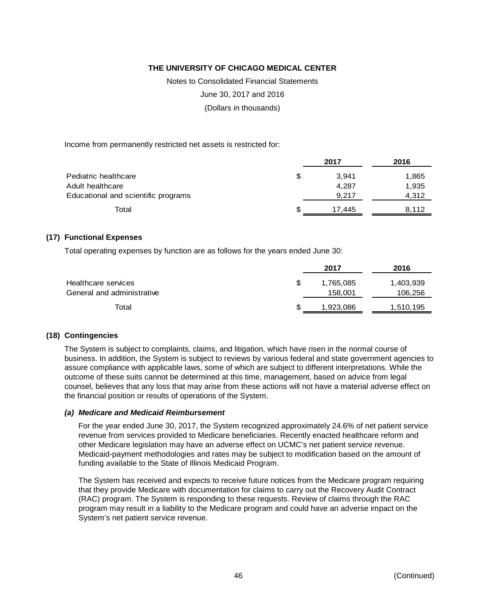Notes to Consolidated Financial Statements

June 30, 2017 and 2016

(Dollars in thousands)

Income from permanently restricted net assets is restricted for:

|                                     | 2017        | 2016  |
|-------------------------------------|-------------|-------|
| Pediatric healthcare                | \$<br>3.941 | 1,865 |
| Adult healthcare                    | 4.287       | 1,935 |
| Educational and scientific programs | 9.217       | 4.312 |
| Total                               | 17.445      | 8.112 |

#### **(17) Functional Expenses**

Total operating expenses by function are as follows for the years ended June 30:

| 2017      | 2016      |
|-----------|-----------|
| 1,765,085 | 1,403,939 |
| 158,001   | 106,256   |
| 1,923,086 | 1,510,195 |
|           |           |

#### **(18) Contingencies**

The System is subject to complaints, claims, and litigation, which have risen in the normal course of business. In addition, the System is subject to reviews by various federal and state government agencies to assure compliance with applicable laws, some of which are subject to different interpretations. While the outcome of these suits cannot be determined at this time, management, based on advice from legal counsel, believes that any loss that may arise from these actions will not have a material adverse effect on the financial position or results of operations of the System.

#### *(a) Medicare and Medicaid Reimbursement*

For the year ended June 30, 2017, the System recognized approximately 24.6% of net patient service revenue from services provided to Medicare beneficiaries. Recently enacted healthcare reform and other Medicare legislation may have an adverse effect on UCMC's net patient service revenue. Medicaid-payment methodologies and rates may be subject to modification based on the amount of funding available to the State of Illinois Medicaid Program.

The System has received and expects to receive future notices from the Medicare program requiring that they provide Medicare with documentation for claims to carry out the Recovery Audit Contract (RAC) program. The System is responding to these requests. Review of claims through the RAC program may result in a liability to the Medicare program and could have an adverse impact on the System's net patient service revenue.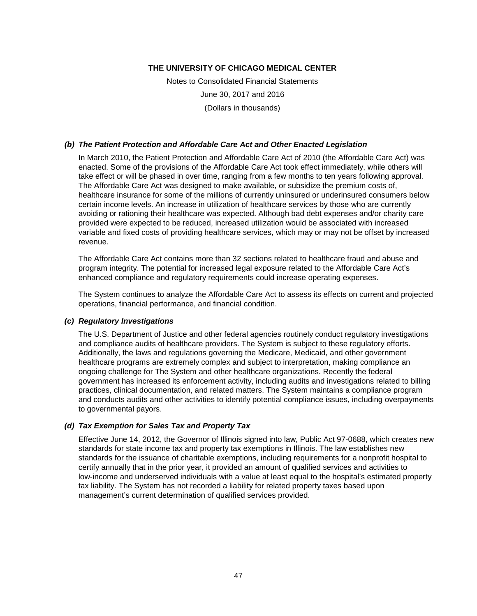Notes to Consolidated Financial Statements June 30, 2017 and 2016 (Dollars in thousands)

#### *(b) The Patient Protection and Affordable Care Act and Other Enacted Legislation*

In March 2010, the Patient Protection and Affordable Care Act of 2010 (the Affordable Care Act) was enacted. Some of the provisions of the Affordable Care Act took effect immediately, while others will take effect or will be phased in over time, ranging from a few months to ten years following approval. The Affordable Care Act was designed to make available, or subsidize the premium costs of, healthcare insurance for some of the millions of currently uninsured or underinsured consumers below certain income levels. An increase in utilization of healthcare services by those who are currently avoiding or rationing their healthcare was expected. Although bad debt expenses and/or charity care provided were expected to be reduced, increased utilization would be associated with increased variable and fixed costs of providing healthcare services, which may or may not be offset by increased revenue.

The Affordable Care Act contains more than 32 sections related to healthcare fraud and abuse and program integrity. The potential for increased legal exposure related to the Affordable Care Act's enhanced compliance and regulatory requirements could increase operating expenses.

The System continues to analyze the Affordable Care Act to assess its effects on current and projected operations, financial performance, and financial condition.

#### *(c) Regulatory Investigations*

The U.S. Department of Justice and other federal agencies routinely conduct regulatory investigations and compliance audits of healthcare providers. The System is subject to these regulatory efforts. Additionally, the laws and regulations governing the Medicare, Medicaid, and other government healthcare programs are extremely complex and subject to interpretation, making compliance an ongoing challenge for The System and other healthcare organizations. Recently the federal government has increased its enforcement activity, including audits and investigations related to billing practices, clinical documentation, and related matters. The System maintains a compliance program and conducts audits and other activities to identify potential compliance issues, including overpayments to governmental payors.

# *(d) Tax Exemption for Sales Tax and Property Tax*

Effective June 14, 2012, the Governor of Illinois signed into law, Public Act 97-0688, which creates new standards for state income tax and property tax exemptions in Illinois. The law establishes new standards for the issuance of charitable exemptions, including requirements for a nonprofit hospital to certify annually that in the prior year, it provided an amount of qualified services and activities to low-income and underserved individuals with a value at least equal to the hospital's estimated property tax liability. The System has not recorded a liability for related property taxes based upon management's current determination of qualified services provided.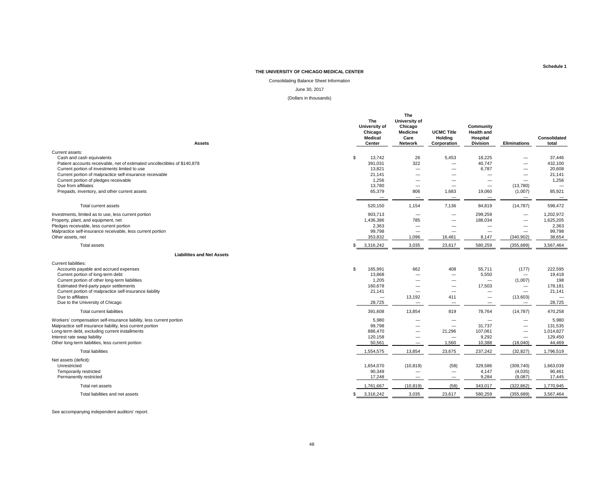Consolidating Balance Sheet Information

#### June 30, 2017

(Dollars in thousands)

| <b>Assets</b>                                                                                                                                                                                                                                                                                                                                           |     | The<br>University of<br>Chicago<br><b>Medical</b><br>Center                           | The<br>University of<br>Chicago<br><b>Medicine</b><br>Care<br>Network                                                            | <b>UCMC Title</b><br><b>Holding</b><br>Corporation                                                                         | Community<br><b>Health and</b><br>Hospital<br><b>Division</b>                                                           | Eliminations                                                                                                 | Consolidated<br>total                                                               |
|---------------------------------------------------------------------------------------------------------------------------------------------------------------------------------------------------------------------------------------------------------------------------------------------------------------------------------------------------------|-----|---------------------------------------------------------------------------------------|----------------------------------------------------------------------------------------------------------------------------------|----------------------------------------------------------------------------------------------------------------------------|-------------------------------------------------------------------------------------------------------------------------|--------------------------------------------------------------------------------------------------------------|-------------------------------------------------------------------------------------|
|                                                                                                                                                                                                                                                                                                                                                         |     |                                                                                       |                                                                                                                                  |                                                                                                                            |                                                                                                                         |                                                                                                              |                                                                                     |
| Current assets:<br>Cash and cash equivalents<br>Patient accounts receivable, net of estimated uncollectibles of \$140,878<br>Current portion of investments limited to use<br>Current portion of malpractice self-insurance receivable<br>Current portion of pledges receivable<br>Due from affiliates<br>Prepaids, inventory, and other current assets | S.  | 13,742<br>391,031<br>13,821<br>21,141<br>1,256<br>13,780<br>65,379                    | 26<br>322<br>$\overline{\phantom{0}}$<br>$\overline{\phantom{0}}$<br>$\overline{\phantom{0}}$<br>$\overline{\phantom{m}}$<br>806 | 5,453<br>$\overline{\phantom{0}}$<br>$\overline{\phantom{0}}$<br>1,683                                                     | 18,225<br>40.747<br>6,787<br>$\overline{\phantom{a}}$<br>$\overline{\phantom{0}}$<br>$\overline{\phantom{m}}$<br>19,060 | $\overline{\phantom{0}}$<br>$\overline{\phantom{0}}$<br>-<br>$\overline{\phantom{0}}$<br>(13,780)<br>(1,007) | 37,446<br>432,100<br>20,608<br>21,141<br>1,256<br>85,921                            |
| Total current assets                                                                                                                                                                                                                                                                                                                                    |     | $\overline{\phantom{0}}$<br>520,150                                                   | $\overline{\phantom{m}}$<br>1,154                                                                                                | $\overline{\phantom{m}}$<br>7,136                                                                                          | $\overline{\phantom{m}}$<br>84,819                                                                                      | $\overline{\phantom{m}}$<br>(14, 787)                                                                        | $\overline{\phantom{m}}$<br>598,472                                                 |
| Investments, limited as to use, less current portion<br>Property, plant, and equipment, net<br>Pledges receivable, less current portion<br>Malpractice self-insurance receivable, less current portion<br>Other assets, net                                                                                                                             |     | 903.713<br>1,436,386<br>2,363<br>99,798<br>353,832                                    | 785<br>$\overline{\phantom{0}}$<br>1,096                                                                                         | $\overline{\phantom{a}}$<br>-<br>16,481                                                                                    | 299.259<br>188,034<br>$\overline{\phantom{0}}$<br>$\overline{\phantom{0}}$<br>8,147                                     | $\overline{\phantom{0}}$<br>$\overline{\phantom{0}}$<br>-<br>-<br>(340, 902)                                 | 1,202,972<br>1,625,205<br>2,363<br>99,798<br>38,654                                 |
| Total assets                                                                                                                                                                                                                                                                                                                                            |     | 3,316,242                                                                             | 3,035                                                                                                                            | 23,617                                                                                                                     | 580,259                                                                                                                 | (355, 689)                                                                                                   | 3,567,464                                                                           |
| <b>Liabilities and Net Assets</b>                                                                                                                                                                                                                                                                                                                       |     |                                                                                       |                                                                                                                                  |                                                                                                                            |                                                                                                                         |                                                                                                              |                                                                                     |
| <b>Current liabilities:</b>                                                                                                                                                                                                                                                                                                                             |     |                                                                                       |                                                                                                                                  |                                                                                                                            |                                                                                                                         |                                                                                                              |                                                                                     |
| Accounts payable and accrued expenses<br>Current portion of long-term debt<br>Current portion of other long-term liabilities<br>Estimated third-party payor settlements<br>Current portion of malpractice self-insurance liability<br>Due to affiliates<br>Due to the University of Chicago                                                             | \$  | 165,991<br>13,868<br>1,205<br>160,678<br>21,141<br>$\overline{\phantom{0}}$<br>28,725 | 662<br>$\overline{\phantom{0}}$<br>$\overline{\phantom{0}}$<br>$\overline{\phantom{0}}$<br>13,192<br>$\overline{\phantom{0}}$    | 408<br>$\overline{\phantom{a}}$<br>$\overline{\phantom{0}}$<br>$\overline{\phantom{0}}$<br>411<br>$\overline{\phantom{m}}$ | 55,711<br>5,550<br>$\overline{\phantom{0}}$<br>17,503<br>—<br>$\overline{\phantom{m}}$                                  | (177)<br>$\qquad \qquad$<br>(1,007)<br>$\qquad \qquad$<br>$\qquad \qquad$<br>(13,603)<br>$\qquad \qquad$     | 222,595<br>19,418<br>198<br>178,181<br>21,141<br>$\overline{\phantom{a}}$<br>28,725 |
| <b>Total current liabilities</b>                                                                                                                                                                                                                                                                                                                        |     | 391,608                                                                               | 13,854                                                                                                                           | 819                                                                                                                        | 78,764                                                                                                                  | (14, 787)                                                                                                    | 470,258                                                                             |
| Workers' compensation self-insurance liability, less current portion<br>Malpractice self insurance liability, less current portion<br>Long-term debt, excluding current installments<br>Interest rate swap liability<br>Other long-term liabilities, less current portion                                                                               |     | 5,980<br>99,798<br>886,470<br>120,158<br>50,561                                       | $\overline{\phantom{0}}$<br>$\overline{\phantom{0}}$<br>$\overline{\phantom{0}}$<br>$\overline{\phantom{0}}$<br>—                | $\overline{\phantom{a}}$<br>$\overline{\phantom{m}}$<br>21,296<br>$\overline{\phantom{m}}$<br>1,560                        | 31,737<br>107,061<br>9,292<br>10,388                                                                                    | $\qquad \qquad$<br>$\qquad \qquad$<br>—<br>$\overline{\phantom{0}}$<br>(18,040)                              | 5,980<br>131,535<br>1,014,827<br>129,450<br>44,469                                  |
| <b>Total liabilities</b>                                                                                                                                                                                                                                                                                                                                |     | 1,554,575                                                                             | 13,854                                                                                                                           | 23,675                                                                                                                     | 237,242                                                                                                                 | (32, 827)                                                                                                    | 1,796,519                                                                           |
| Net assets (deficit):<br>Unrestricted<br>Temporarily restricted<br>Permanently restricted                                                                                                                                                                                                                                                               |     | 1,654,070<br>90,349<br>17,248                                                         | (10, 819)<br>$\overline{\phantom{0}}$<br>$\overline{\phantom{m}}$                                                                | (58)<br>$\overline{\phantom{m}}$<br>$\hspace{0.1mm}-\hspace{0.1mm}$                                                        | 329,586<br>4,147<br>9,284                                                                                               | (309, 740)<br>(4,035)<br>(9,087)                                                                             | 1,663,039<br>90,461<br>17.445                                                       |
| Total net assets                                                                                                                                                                                                                                                                                                                                        |     | 1,761,667                                                                             | (10, 819)                                                                                                                        | (58)                                                                                                                       | 343,017                                                                                                                 | (322, 862)                                                                                                   | 1,770,945                                                                           |
| Total liabilities and net assets                                                                                                                                                                                                                                                                                                                        | \$. | 3,316,242                                                                             | 3,035                                                                                                                            | 23,617                                                                                                                     | 580,259                                                                                                                 | (355, 689)                                                                                                   | 3,567,464                                                                           |

See accompanying independent auditors' report.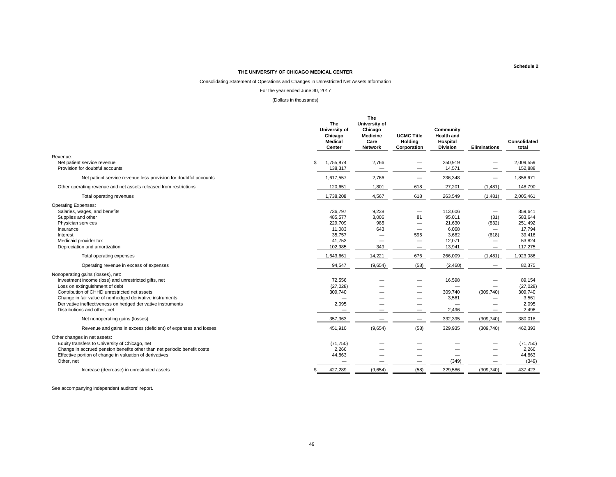#### Consolidating Statement of Operations and Changes in Unrestricted Net Assets Information

#### For the year ended June 30, 2017

#### (Dollars in thousands)

|                                                                                                                                                                                                                                                                                                                                        |     | The<br>University of<br>Chicago<br><b>Medical</b><br>Center         | The<br>University of<br>Chicago<br><b>Medicine</b><br>Care<br>Network | <b>UCMC Title</b><br>Holding<br>Corporation               | Community<br><b>Health and</b><br>Hospital<br><b>Division</b> | <b>Eliminations</b>                           | Consolidated<br>total                                     |
|----------------------------------------------------------------------------------------------------------------------------------------------------------------------------------------------------------------------------------------------------------------------------------------------------------------------------------------|-----|---------------------------------------------------------------------|-----------------------------------------------------------------------|-----------------------------------------------------------|---------------------------------------------------------------|-----------------------------------------------|-----------------------------------------------------------|
| Revenue:                                                                                                                                                                                                                                                                                                                               |     |                                                                     |                                                                       |                                                           |                                                               |                                               |                                                           |
| Net patient service revenue<br>Provision for doubtful accounts                                                                                                                                                                                                                                                                         | \$  | 1,755,874<br>138,317                                                | 2,766                                                                 |                                                           | 250,919<br>14,571                                             |                                               | 2,009,559<br>152,888                                      |
| Net patient service revenue less provision for doubtful accounts                                                                                                                                                                                                                                                                       |     | 1,617,557                                                           | 2,766                                                                 | $\overbrace{\phantom{1232211}}$                           | 236,348                                                       |                                               | 1,856,671                                                 |
| Other operating revenue and net assets released from restrictions                                                                                                                                                                                                                                                                      |     | 120,651                                                             | 1,801                                                                 | 618                                                       | 27,201                                                        | (1,481)                                       | 148,790                                                   |
| Total operating revenues                                                                                                                                                                                                                                                                                                               |     | 1,738,208                                                           | 4,567                                                                 | 618                                                       | 263,549                                                       | (1,481)                                       | 2,005,461                                                 |
| <b>Operating Expenses:</b><br>Salaries, wages, and benefits<br>Supplies and other<br>Physician services                                                                                                                                                                                                                                |     | 736,797<br>485,577<br>229,709                                       | 9,238<br>3,006<br>985                                                 | $\qquad \qquad -$<br>81                                   | 113,606<br>95,011<br>21,630                                   | (31)<br>(832)                                 | 859.641<br>583,644<br>251,492                             |
| Insurance<br>Interest<br>Medicaid provider tax<br>Depreciation and amortization                                                                                                                                                                                                                                                        |     | 11,083<br>35,757<br>41,753<br>102,985                               | 643<br>349                                                            | $\equiv$<br>595<br>—<br>$\overbrace{\phantom{1232211}}$   | 6,068<br>3,682<br>12,071<br>13,941                            | (618)<br>—<br>$\overbrace{\phantom{1232211}}$ | 17,794<br>39,416<br>53,824<br>117,275                     |
| Total operating expenses                                                                                                                                                                                                                                                                                                               |     | 1,643,661                                                           | 14,221                                                                | 676                                                       | 266,009                                                       | (1,481)                                       | 1,923,086                                                 |
| Operating revenue in excess of expenses                                                                                                                                                                                                                                                                                                |     | 94,547                                                              | (9,654)                                                               | (58)                                                      | (2,460)                                                       |                                               | 82,375                                                    |
| Nonoperating gains (losses), net:<br>Investment income (loss) and unrestricted gifts, net<br>Loss on extinguishment of debt<br>Contribution of CHHD unrestricted net assets<br>Change in fair value of nonhedged derivative instruments<br>Derivative ineffectiveness on hedged derivative instruments<br>Distributions and other, net |     | 72,556<br>(27, 028)<br>309,740<br>2,095<br>$\overline{\phantom{0}}$ |                                                                       | $\overline{\phantom{0}}$<br>-<br>$\overline{\phantom{m}}$ | 16,598<br>309,740<br>3,561<br>2,496                           | (309, 740)<br>$\qquad \qquad -$               | 89,154<br>(27, 028)<br>309,740<br>3,561<br>2,095<br>2,496 |
| Net nonoperating gains (losses)                                                                                                                                                                                                                                                                                                        |     | 357,363                                                             |                                                                       | $\qquad \qquad -$                                         | 332,395                                                       | (309, 740)                                    | 380,018                                                   |
| Revenue and gains in excess (deficient) of expenses and losses                                                                                                                                                                                                                                                                         |     | 451,910                                                             | (9,654)                                                               | (58)                                                      | 329,935                                                       | (309, 740)                                    | 462,393                                                   |
| Other changes in net assets:<br>Equity transfers to University of Chicago, net<br>Change in accrued pension benefits other than net periodic benefit costs<br>Effective portion of change in valuation of derivatives<br>Other, net                                                                                                    |     | (71,750)<br>2,266<br>44,863<br>$\overline{\phantom{0}}$             |                                                                       | $\overline{\phantom{m}}$                                  | –<br>(349)                                                    | $\overline{\phantom{m}}$                      | (71, 750)<br>2,266<br>44,863<br>(349)                     |
| Increase (decrease) in unrestricted assets                                                                                                                                                                                                                                                                                             | \$. | 427,289                                                             | (9,654)                                                               | (58)                                                      | 329,586                                                       | (309, 740)                                    | 437,423                                                   |

See accompanying independent auditors' report.